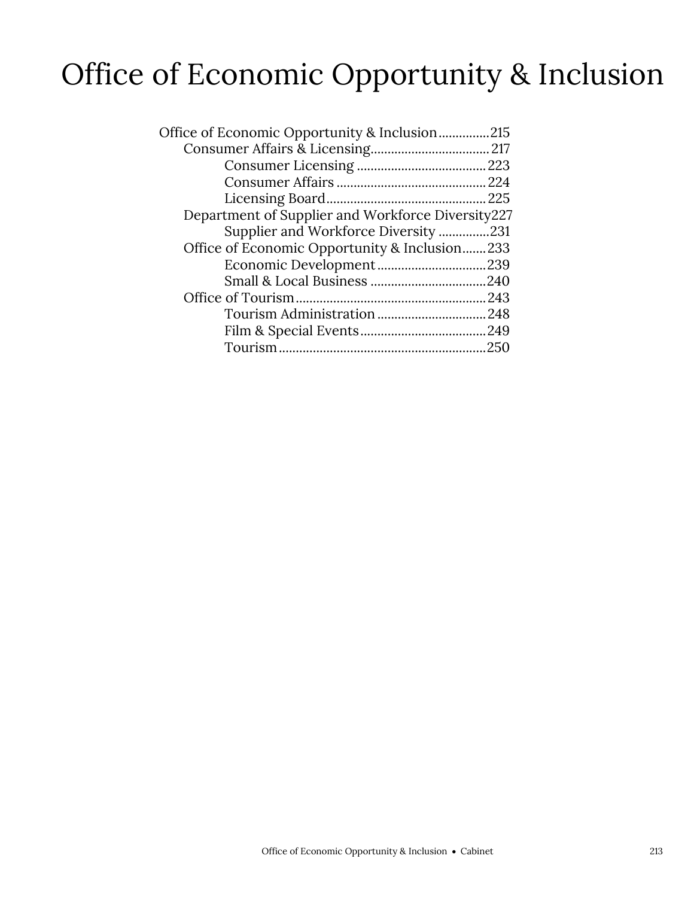### Office of Economic Opportunity & Inclusion

| Office of Economic Opportunity & Inclusion215     |
|---------------------------------------------------|
|                                                   |
|                                                   |
|                                                   |
|                                                   |
| Department of Supplier and Workforce Diversity227 |
| Supplier and Workforce Diversity 231              |
| Office of Economic Opportunity & Inclusion233     |
|                                                   |
|                                                   |
|                                                   |
|                                                   |
|                                                   |
|                                                   |
|                                                   |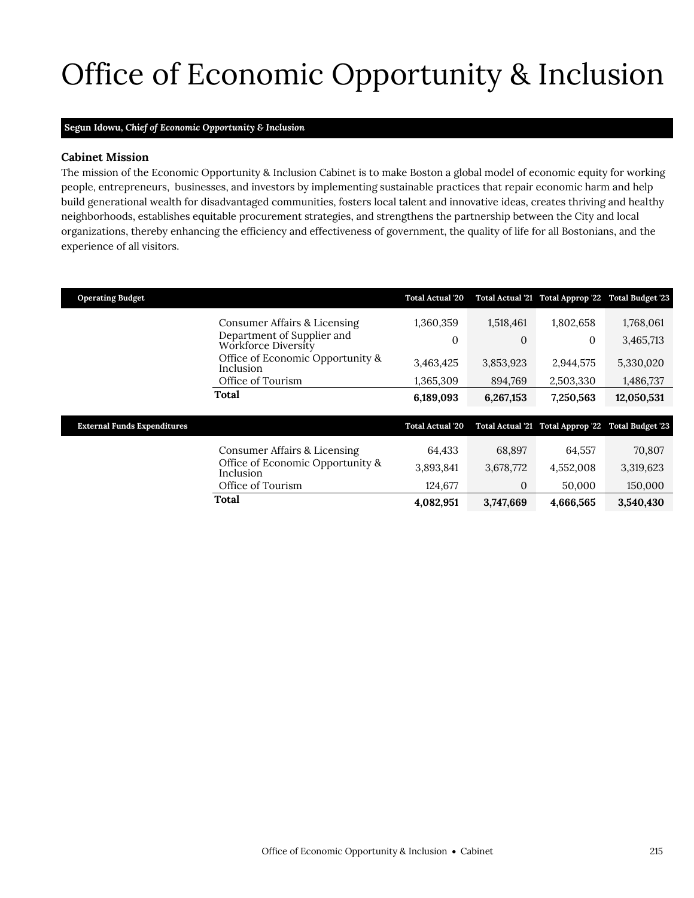# <span id="page-2-0"></span>Office of Economic Opportunity & Inclusion

#### **Segun Idowu,** *Chief of Economic Opportunity & Inclusion*

### **Cabinet Mission**

The mission of the Economic Opportunity & Inclusion Cabinet is to make Boston a global model of economic equity for working people, entrepreneurs, businesses, and investors by implementing sustainable practices that repair economic harm and help build generational wealth for disadvantaged communities, fosters local talent and innovative ideas, creates thriving and healthy neighborhoods, establishes equitable procurement strategies, and strengthens the partnership between the City and local organizations, thereby enhancing the efficiency and effectiveness of government, the quality of life for all Bostonians, and the experience of all visitors.

| <b>Operating Budget</b>            |                                                   | <b>Total Actual '20</b> |              | Total Actual '21 Total Approp '22 Total Budget '23 |            |
|------------------------------------|---------------------------------------------------|-------------------------|--------------|----------------------------------------------------|------------|
|                                    | Consumer Affairs & Licensing                      | 1,360,359               | 1,518,461    | 1,802,658                                          | 1,768,061  |
|                                    | Department of Supplier and<br>Workforce Diversity | $\mathbf{0}$            | $\mathbf{0}$ | $\Omega$                                           | 3,465,713  |
|                                    | Office of Economic Opportunity &<br>Inclusion     | 3,463,425               | 3,853,923    | 2,944,575                                          | 5,330,020  |
|                                    | Office of Tourism                                 | 1,365,309               | 894,769      | 2,503,330                                          | 1,486,737  |
|                                    | Total                                             | 6,189,093               | 6,267,153    | 7,250,563                                          | 12,050,531 |
|                                    |                                                   |                         |              |                                                    |            |
| <b>External Funds Expenditures</b> |                                                   | <b>Total Actual '20</b> |              | Total Actual '21 Total Approp '22 Total Budget '23 |            |
|                                    | Consumer Affairs & Licensing                      | 64.433                  | 68.897       | 64,557                                             | 70,807     |
|                                    | Office of Economic Opportunity &<br>Inclusion     | 3,893,841               | 3,678,772    | 4,552,008                                          | 3,319,623  |
|                                    | Office of Tourism                                 | 124,677                 | $\mathbf{0}$ | 50,000                                             | 150,000    |
|                                    | Total                                             | 4,082,951               | 3,747,669    | 4,666,565                                          | 3,540,430  |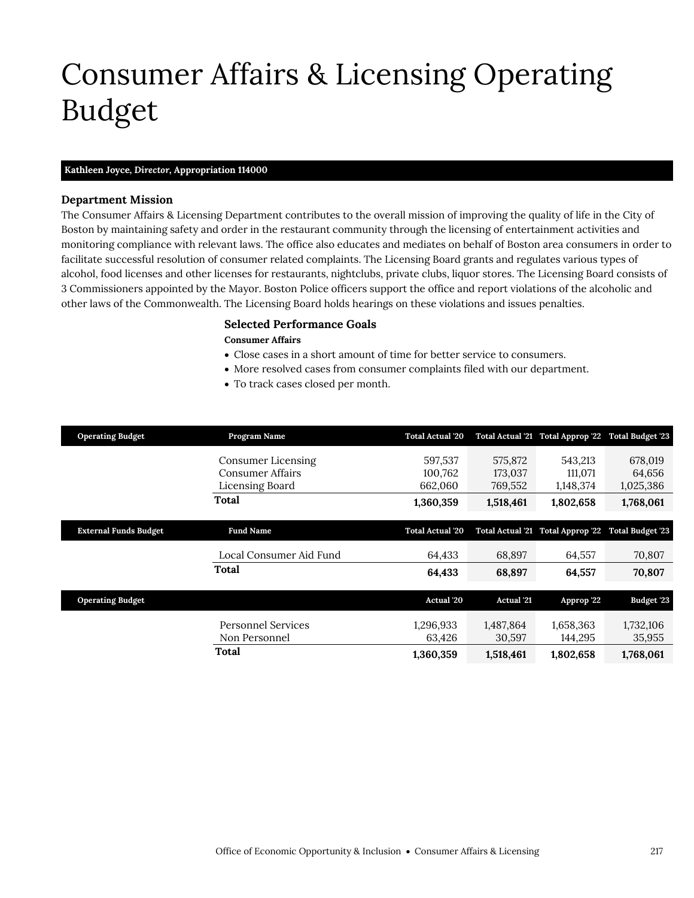### <span id="page-4-0"></span>Consumer Affairs & Licensing Operating Budget

#### **Kathleen Joyce,** *Director,* **Appropriation 114000**

### **Department Mission**

The Consumer Affairs & Licensing Department contributes to the overall mission of improving the quality of life in the City of Boston by maintaining safety and order in the restaurant community through the licensing of entertainment activities and monitoring compliance with relevant laws. The office also educates and mediates on behalf of Boston area consumers in order to facilitate successful resolution of consumer related complaints. The Licensing Board grants and regulates various types of alcohol, food licenses and other licenses for restaurants, nightclubs, private clubs, liquor stores. The Licensing Board consists of 3 Commissioners appointed by the Mayor. Boston Police officers support the office and report violations of the alcoholic and other laws of the Commonwealth. The Licensing Board holds hearings on these violations and issues penalties.

### **Selected Performance Goals**

#### **Consumer Affairs**

- Close cases in a short amount of time for better service to consumers.
- More resolved cases from consumer complaints filed with our department.
- To track cases closed per month.

| <b>Operating Budget</b>      | Program Name                                                     | <b>Total Actual '20</b>       |                               | Total Actual '21 Total Approp '22 Total Budget '23 |                                |
|------------------------------|------------------------------------------------------------------|-------------------------------|-------------------------------|----------------------------------------------------|--------------------------------|
|                              | Consumer Licensing<br><b>Consumer Affairs</b><br>Licensing Board | 597,537<br>100,762<br>662,060 | 575,872<br>173,037<br>769,552 | 543.213<br>111,071<br>1,148,374                    | 678,019<br>64,656<br>1,025,386 |
|                              | Total                                                            | 1,360,359                     | 1,518,461                     | 1,802,658                                          | 1,768,061                      |
| <b>External Funds Budget</b> | <b>Fund Name</b>                                                 | <b>Total Actual '20</b>       |                               | Total Actual '21 Total Approp '22                  | <b>Total Budget '23</b>        |
|                              | Local Consumer Aid Fund                                          | 64,433                        | 68,897                        | 64,557                                             | 70,807                         |
|                              | Total                                                            | 64,433                        | 68,897                        | 64,557                                             | 70,807                         |
| <b>Operating Budget</b>      |                                                                  | <b>Actual</b> '20             | <b>Actual</b> '21             | Approp '22                                         | Budget '23                     |
|                              | <b>Personnel Services</b><br>Non Personnel                       | 1,296,933<br>63,426           | 1,487,864<br>30,597           | 1,658,363<br>144,295                               | 1,732,106<br>35,955            |
|                              | Total                                                            | 1,360,359                     | 1,518,461                     | 1,802,658                                          | 1,768,061                      |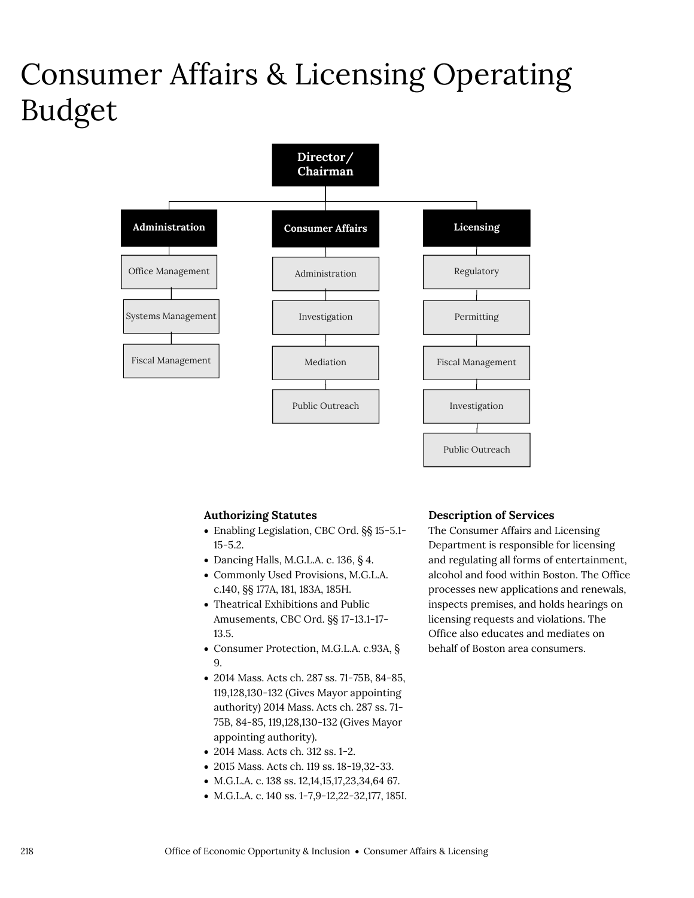### Consumer Affairs & Licensing Operating Budget



#### **Authorizing Statutes**

- Enabling Legislation, CBC Ord. §§ 15-5.1- 15-5.2.
- Dancing Halls, M.G.L.A. c. 136, § 4.
- Commonly Used Provisions, M.G.L.A. c.140, §§ 177A, 181, 183A, 185H.
- Theatrical Exhibitions and Public Amusements, CBC Ord. §§ 17-13.1-17- 13.5.
- Consumer Protection, M.G.L.A. c.93A, § 9.
- 2014 Mass. Acts ch. 287 ss. 71-75B, 84-85, 119,128,130-132 (Gives Mayor appointing authority) 2014 Mass. Acts ch. 287 ss. 71- 75B, 84-85, 119,128,130-132 (Gives Mayor appointing authority).
- 2014 Mass. Acts ch. 312 ss. 1-2.
- 2015 Mass. Acts ch. 119 ss. 18-19,32-33.
- M.G.L.A. c. 138 ss. 12,14,15,17,23,34,64 67.
- M.G.L.A. c. 140 ss. 1-7,9-12,22-32,177, 185I.

### **Description of Services**

The Consumer Affairs and Licensing Department is responsible for licensing and regulating all forms of entertainment, alcohol and food within Boston. The Office processes new applications and renewals, inspects premises, and holds hearings on licensing requests and violations. The Office also educates and mediates on behalf of Boston area consumers.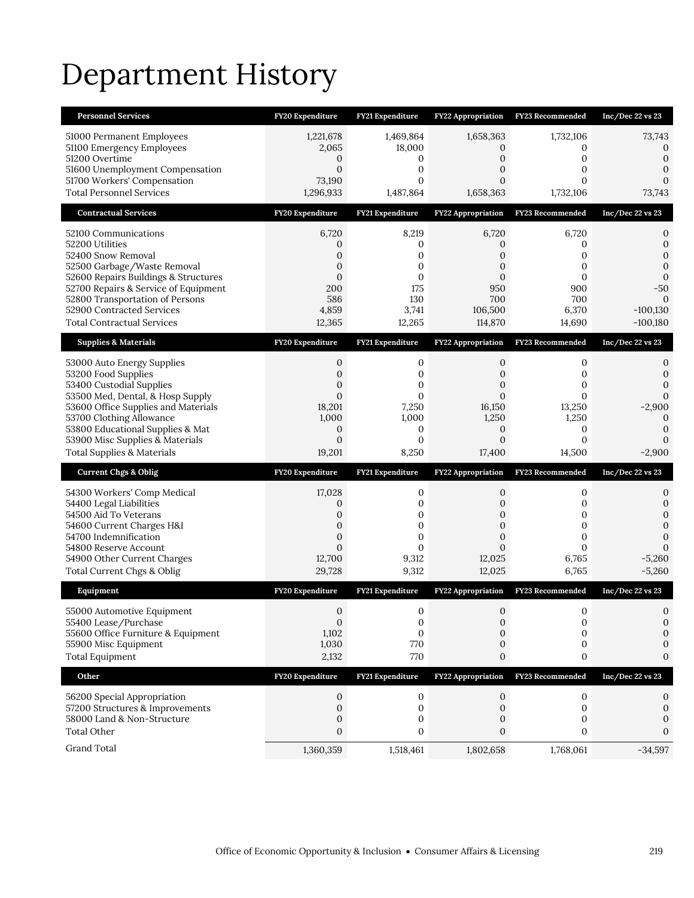## Department History

| <b>Personnel Services</b>                                                                                                                                                                                                                                                         | FY20 Expenditure                                                                 | FY21 Expenditure                                                            | <b>FY22 Appropriation</b>                                                                      | FY23 Recommended                                                      | Inc/Dec 22 vs 23                                                                           |
|-----------------------------------------------------------------------------------------------------------------------------------------------------------------------------------------------------------------------------------------------------------------------------------|----------------------------------------------------------------------------------|-----------------------------------------------------------------------------|------------------------------------------------------------------------------------------------|-----------------------------------------------------------------------|--------------------------------------------------------------------------------------------|
| 51000 Permanent Employees<br>51100 Emergency Employees<br>51200 Overtime<br>51600 Unemployment Compensation<br>51700 Workers' Compensation<br><b>Total Personnel Services</b>                                                                                                     | 1,221,678<br>2,065<br>$\mathbf{0}$<br>$\overline{0}$<br>73,190<br>1,296,933      | 1,469,864<br>18,000<br>0<br>$\mathbf{0}$<br>0<br>1,487,864                  | 1,658,363<br>0<br>0<br>0<br>$\overline{0}$<br>1,658,363                                        | 1,732,106<br>0<br>0<br>0<br>$\Omega$<br>1,732,106                     | 73,743<br>0<br>$\mathbf{0}$<br>0<br>$\Omega$<br>73,743                                     |
| <b>Contractual Services</b>                                                                                                                                                                                                                                                       | FY20 Expenditure                                                                 | FY21 Expenditure                                                            | <b>FY22 Appropriation</b>                                                                      | <b>FY23 Recommended</b>                                               | Inc/Dec 22 vs 23                                                                           |
| 52100 Communications<br>52200 Utilities<br>52400 Snow Removal<br>52500 Garbage/Waste Removal<br>52600 Repairs Buildings & Structures<br>52700 Repairs & Service of Equipment<br>52800 Transportation of Persons<br>52900 Contracted Services<br><b>Total Contractual Services</b> | 6,720<br>0<br>0<br>$\mathbf{0}$<br>$\mathbf{0}$<br>200<br>586<br>4,859<br>12,365 | 8,219<br>0<br>0<br>$\mathbf{0}$<br>0<br>175<br>130<br>3,741<br>12,265       | 6,720<br>0<br>$\mathbf{0}$<br>$\mathbf{0}$<br>$\mathbf{0}$<br>950<br>700<br>106,500<br>114,870 | 6,720<br>0<br>0<br>0<br>$\mathbf{0}$<br>900<br>700<br>6,370<br>14,690 | 0<br>$\mathbf 0$<br>$\mathbf{0}$<br>0<br>$\mathbf{0}$<br>$-50$<br>$-100,130$<br>$-100,180$ |
| <b>Supplies &amp; Materials</b>                                                                                                                                                                                                                                                   | FY20 Expenditure                                                                 | FY21 Expenditure                                                            | <b>FY22 Appropriation</b>                                                                      | <b>FY23 Recommended</b>                                               | $Inc/Dec$ 22 vs 23                                                                         |
| 53000 Auto Energy Supplies<br>53200 Food Supplies<br>53400 Custodial Supplies<br>53500 Med, Dental, & Hosp Supply<br>53600 Office Supplies and Materials<br>53700 Clothing Allowance<br>53800 Educational Supplies & Mat                                                          | 0<br>$\mathbf{0}$<br>$\mathbf{0}$<br>$\overline{0}$<br>18,201<br>1,000<br>0      | 0<br>0<br>0<br>$\Omega$<br>7,250<br>1,000<br>0                              | 0<br>0<br>0<br>$\Omega$<br>16,150<br>1,250<br>0                                                | 0<br>0<br>0<br>$\Omega$<br>13,250<br>1,250<br>0                       | 0<br>0<br>$\Omega$<br>0<br>$-2,900$<br>$\mathbf 0$<br>0                                    |
| 53900 Misc Supplies & Materials<br><b>Total Supplies &amp; Materials</b>                                                                                                                                                                                                          | $\mathbf{0}$<br>19,201                                                           | $\mathbf{0}$<br>8,250                                                       | $\mathbf{0}$<br>17,400                                                                         | $\mathbf{0}$<br>14,500                                                | 0<br>$-2,900$                                                                              |
| <b>Current Chgs &amp; Oblig</b>                                                                                                                                                                                                                                                   | FY20 Expenditure                                                                 | FY21 Expenditure                                                            | FY22 Appropriation                                                                             | FY23 Recommended                                                      | Inc/Dec 22 vs 23                                                                           |
| 54300 Workers' Comp Medical<br>54400 Legal Liabilities<br>54500 Aid To Veterans<br>54600 Current Charges H&I<br>54700 Indemnification<br>54800 Reserve Account<br>54900 Other Current Charges<br>Total Current Chgs & Oblig                                                       | 17,028<br>0<br>0<br>$\mathbf{0}$<br>$\mathbf{0}$<br>$\Omega$<br>12,700<br>29,728 | 0<br>$\mathbf 0$<br>0<br>$\mathbf{0}$<br>$\mathbf 0$<br>0<br>9,312<br>9,312 | $\boldsymbol{0}$<br>$\overline{0}$<br>0<br>0<br>$\mathbf 0$<br>$\Omega$<br>12,025<br>12,025    | 0<br>0<br>0<br>0<br>$\mathbf 0$<br>$\Omega$<br>6,765<br>6,765         | 0<br>$\mathbf{0}$<br>$\mathbf{0}$<br>0<br>0<br>$\Omega$<br>$-5,260$<br>$-5,260$            |
| Equipment                                                                                                                                                                                                                                                                         | FY20 Expenditure                                                                 | FY21 Expenditure                                                            | <b>FY22 Appropriation</b>                                                                      | FY23 Recommended                                                      | Inc/Dec 22 vs 23                                                                           |
| 55000 Automotive Equipment<br>55400 Lease/Purchase<br>55600 Office Furniture & Equipment<br>55900 Misc Equipment<br><b>Total Equipment</b>                                                                                                                                        | $\mathbf 0$<br>$\mathbf 0$<br>1,102<br>1,030<br>2,132                            | $\mathbf 0$<br>0<br>$\mathbf{0}$<br>770<br>770                              | $\mathbf{0}$<br>$\mathbf 0$<br>$\Omega$<br>0<br>$\mathbf 0$                                    | $\mathbf{0}$<br>0<br>$\mathbf{0}$<br>0<br>0                           | $\mathbf 0$<br>0<br>0<br>0<br>0                                                            |
| Other                                                                                                                                                                                                                                                                             | FY20 Expenditure                                                                 | FY21 Expenditure                                                            | FY22 Appropriation                                                                             | FY23 Recommended                                                      | Inc/Dec 22 vs 23                                                                           |
| 56200 Special Appropriation<br>57200 Structures & Improvements<br>58000 Land & Non-Structure<br><b>Total Other</b><br>Grand Total                                                                                                                                                 | 0<br>$\mathbf 0$<br>0<br>0<br>1,360,359                                          | 0<br>$\mathbf 0$<br>0<br>0<br>1,518,461                                     | 0<br>$\mathbf 0$<br>0<br>0<br>1,802,658                                                        | 0<br>0<br>0<br>0<br>1,768,061                                         | 0<br>0<br>0<br>$\Omega$<br>$-34,597$                                                       |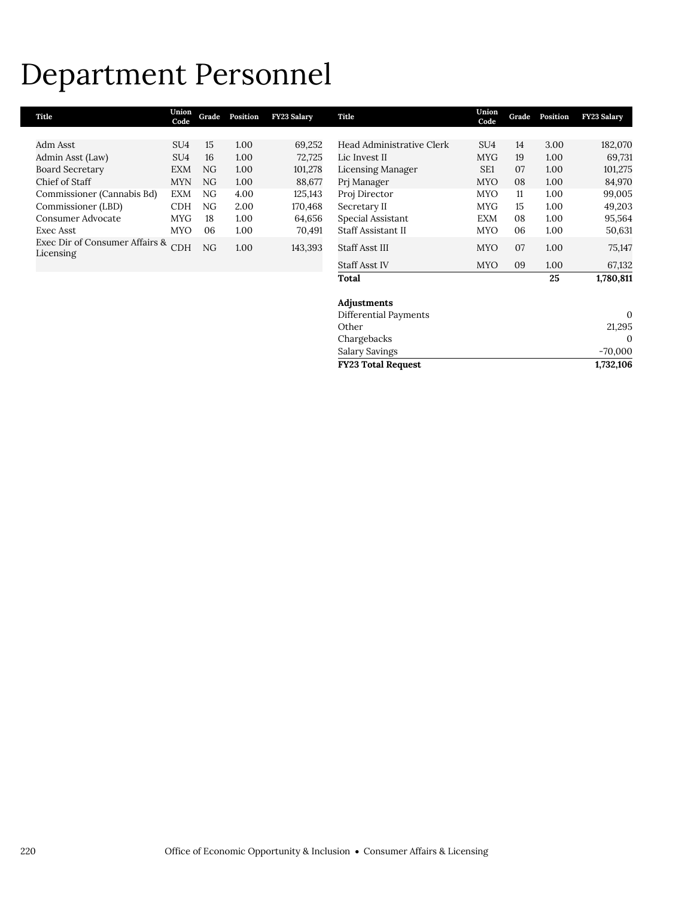### Department Personnel

| Title                                       | Union<br>Code   | Grade | Position | FY23 Salary | Title                     | Union<br>Code   | Grade | Position | FY23 Salary  |
|---------------------------------------------|-----------------|-------|----------|-------------|---------------------------|-----------------|-------|----------|--------------|
|                                             |                 |       |          |             |                           |                 |       |          |              |
| Adm Asst                                    | SU4             | 15    | 1.00     | 69,252      | Head Administrative Clerk | SU <sub>4</sub> | 14    | 3.00     | 182,070      |
| Admin Asst (Law)                            | SU <sub>4</sub> | 16    | 1.00     | 72,725      | Lic Invest II             | <b>MYG</b>      | 19    | 1.00     | 69,731       |
| <b>Board Secretary</b>                      | <b>EXM</b>      | NG    | 1.00     | 101,278     | Licensing Manager         | SE <sub>1</sub> | 07    | 1.00     | 101,275      |
| Chief of Staff                              | <b>MYN</b>      | NG    | 1.00     | 88,677      | Prj Manager               | <b>MYO</b>      | 08    | 1.00     | 84,970       |
| Commissioner (Cannabis Bd)                  | <b>EXM</b>      | NG    | 4.00     | 125,143     | Proj Director             | <b>MYO</b>      | 11    | 1.00     | 99,005       |
| Commissioner (LBD)                          | <b>CDH</b>      | NG    | 2.00     | 170,468     | Secretary II              | <b>MYG</b>      | 15    | 1.00     | 49,203       |
| Consumer Advocate                           | <b>MYG</b>      | 18    | 1.00     | 64,656      | Special Assistant         | <b>EXM</b>      | 08    | 1.00     | 95,564       |
| Exec Asst                                   | <b>MYO</b>      | 06    | 1.00     | 70,491      | Staff Assistant II        | <b>MYO</b>      | 06    | 1.00     | 50,631       |
| Exec Dir of Consumer Affairs &<br>Licensing | CDH             | NG    | 1.00     | 143,393     | Staff Asst III            | <b>MYO</b>      | 07    | 1.00     | 75,147       |
|                                             |                 |       |          |             | <b>Staff Asst IV</b>      | <b>MYO</b>      | 09    | 1.00     | 67,132       |
|                                             |                 |       |          |             | <b>Total</b>              |                 |       | 25       | 1,780,811    |
|                                             |                 |       |          |             | Adjustments               |                 |       |          |              |
|                                             |                 |       |          |             | Differential Payments     |                 |       |          | $\mathbf{0}$ |
|                                             |                 |       |          |             | Other                     |                 |       |          | 21,295       |
|                                             |                 |       |          |             | Chargebacks               |                 |       |          | $\Omega$     |
|                                             |                 |       |          |             | Salary Savings            |                 |       |          | $-70,000$    |
|                                             |                 |       |          |             | <b>FY23 Total Request</b> |                 |       |          | 1,732,106    |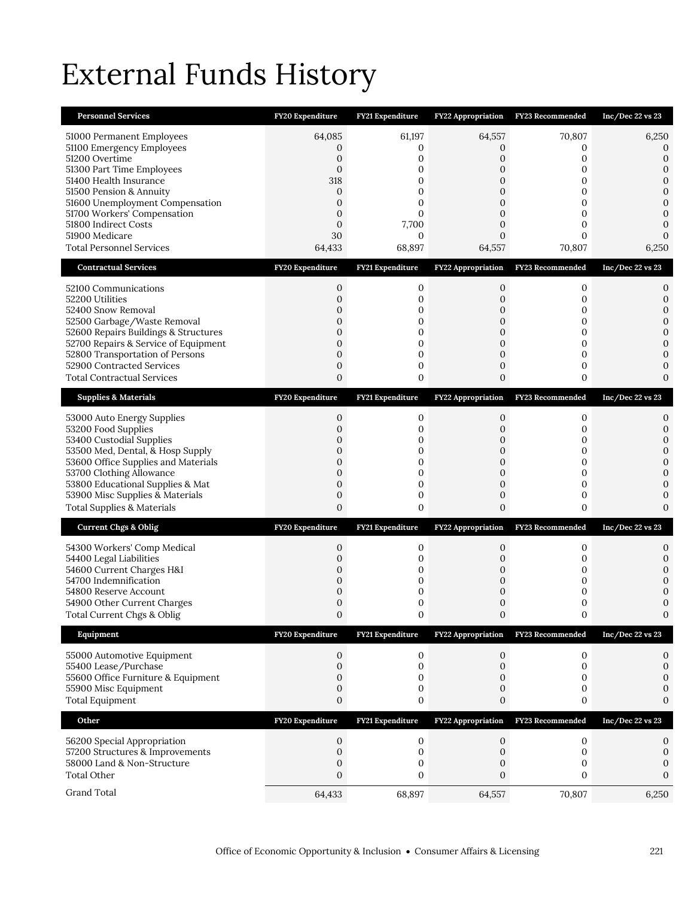## External Funds History

| <b>Personnel Services</b>                                                                                                                                                                                                                                                                                 | FY20 Expenditure                                                                                                                           | FY21 Expenditure                                                                                            | FY22 Appropriation                                                                                     | <b>FY23 Recommended</b>                                              | Inc/Dec $22$ vs $23$                                                                                    |
|-----------------------------------------------------------------------------------------------------------------------------------------------------------------------------------------------------------------------------------------------------------------------------------------------------------|--------------------------------------------------------------------------------------------------------------------------------------------|-------------------------------------------------------------------------------------------------------------|--------------------------------------------------------------------------------------------------------|----------------------------------------------------------------------|---------------------------------------------------------------------------------------------------------|
| 51000 Permanent Employees<br>51100 Emergency Employees<br>51200 Overtime<br>51300 Part Time Employees<br>51400 Health Insurance<br>51500 Pension & Annuity<br>51600 Unemployment Compensation<br>51700 Workers' Compensation<br>51800 Indirect Costs<br>51900 Medicare<br><b>Total Personnel Services</b> | 64,085<br>0<br>$\boldsymbol{0}$<br>$\mathbf{0}$<br>318<br>$\boldsymbol{0}$<br>$\mathbf{0}$<br>$\mathbf{0}$<br>$\mathbf{0}$<br>30<br>64,433 | 61,197<br>0<br>$\mathbf{0}$<br>$\Omega$<br>0<br>0<br>$\overline{0}$<br>0<br>7,700<br>$\mathbf{0}$<br>68,897 | 64,557<br>0<br>$\mathbf 0$<br>$\Omega$<br>0<br>$\mathbf{0}$<br>$\overline{0}$<br>0<br>0<br>0<br>64,557 | 70,807<br>0<br>0<br>$\Omega$<br>0<br>0<br>0<br>0<br>0<br>0<br>70,807 | 6,250<br>0<br>0<br>0<br>$\mathbf{0}$<br>$\mathbf{0}$<br>$\mathbf{0}$<br>$\mathbf{0}$<br>0<br>0<br>6,250 |
| <b>Contractual Services</b>                                                                                                                                                                                                                                                                               | FY20 Expenditure                                                                                                                           | FY21 Expenditure                                                                                            | FY22 Appropriation                                                                                     | FY23 Recommended                                                     | Inc/Dec 22 vs 23                                                                                        |
| 52100 Communications<br>52200 Utilities<br>52400 Snow Removal<br>52500 Garbage/Waste Removal<br>52600 Repairs Buildings & Structures<br>52700 Repairs & Service of Equipment<br>52800 Transportation of Persons<br>52900 Contracted Services<br><b>Total Contractual Services</b>                         | 0<br>$\mathbf 0$<br>0<br>$\mathbf 0$<br>$\mathbf{0}$<br>$\mathbf{0}$<br>$\mathbf{0}$<br>0<br>$\mathbf{0}$                                  | 0<br>$\mathbf 0$<br>0<br>0<br>0<br>0<br>$\mathbf 0$<br>0<br>0                                               | 0<br>$\mathbf 0$<br>0<br>$\mathbf 0$<br>0<br>0<br>$\mathbf{0}$<br>0<br>$\mathbf{0}$                    | 0<br>0<br>0<br>0<br>0<br>0<br>0<br>0<br>0                            | 0<br>0<br>$\mathbf{0}$<br>$\mathbf{0}$<br>$\mathbf{0}$<br>$\mathbf{0}$<br>0<br>0<br>0                   |
| <b>Supplies &amp; Materials</b>                                                                                                                                                                                                                                                                           | FY20 Expenditure                                                                                                                           | FY21 Expenditure                                                                                            | FY22 Appropriation                                                                                     | FY23 Recommended                                                     | Inc/Dec 22 vs 23                                                                                        |
| 53000 Auto Energy Supplies<br>53200 Food Supplies<br>53400 Custodial Supplies<br>53500 Med, Dental, & Hosp Supply<br>53600 Office Supplies and Materials<br>53700 Clothing Allowance<br>53800 Educational Supplies & Mat<br>53900 Misc Supplies & Materials<br><b>Total Supplies &amp; Materials</b>      | 0<br>$\overline{0}$<br>0<br>$\overline{0}$<br>$\mathbf{0}$<br>$\mathbf{0}$<br>0<br>$\mathbf{0}$<br>$\overline{0}$                          | 0<br>$\mathbf 0$<br>0<br>$\mathbf 0$<br>0<br>0<br>0<br>$\mathbf 0$<br>0                                     | 0<br>$\overline{0}$<br>0<br>$\mathbf{0}$<br>$\mathbf{0}$<br>0<br>0<br>$\mathbf{0}$<br>$\overline{0}$   | 0<br>0<br>0<br>0<br>0<br>0<br>0<br>0<br>0                            | 0<br>0<br>0<br>$\mathbf{0}$<br>$\mathbf{0}$<br>$\Omega$<br>0<br>$\mathbf{0}$<br>$\Omega$                |
| <b>Current Chgs &amp; Oblig</b>                                                                                                                                                                                                                                                                           | FY20 Expenditure                                                                                                                           | FY21 Expenditure                                                                                            |                                                                                                        | FY22 Appropriation FY23 Recommended                                  | $Inc/Dec$ 22 vs 23                                                                                      |
| 54300 Workers' Comp Medical<br>54400 Legal Liabilities<br>54600 Current Charges H&I<br>54700 Indemnification<br>54800 Reserve Account<br>54900 Other Current Charges<br>Total Current Chgs & Oblig                                                                                                        | 0<br>0<br>0<br>0<br>$\mathbf{0}$<br>0<br>$\boldsymbol{0}$                                                                                  | 0<br>0<br>0<br>0<br>0<br>0<br>$\boldsymbol{0}$                                                              | 0<br>0<br>0<br>0<br>$\mathbf{0}$<br>0<br>0                                                             | 0<br>0<br>0<br>0<br>0<br>0                                           | 0<br>0<br>0<br>0<br>0<br>$\mathbf{0}$                                                                   |
| Equipment                                                                                                                                                                                                                                                                                                 | FY20 Expenditure                                                                                                                           | FY21 Expenditure                                                                                            | <b>FY22 Appropriation</b>                                                                              | FY23 Recommended                                                     | Inc/Dec 22 vs 23                                                                                        |
| 55000 Automotive Equipment<br>55400 Lease/Purchase<br>55600 Office Furniture & Equipment<br>55900 Misc Equipment<br><b>Total Equipment</b>                                                                                                                                                                | 0<br>$\mathbf{0}$<br>$\mathbf{0}$<br>$\mathbf{0}$<br>0                                                                                     | $\mathbf 0$<br>0<br>0<br>0<br>0                                                                             | $\mathbf{0}$<br>0<br>0<br>0<br>0                                                                       | 0<br>$\mathbf{0}$<br>0<br>0<br>0                                     | 0<br>$\boldsymbol{0}$<br>0<br>0<br>0                                                                    |
| Other                                                                                                                                                                                                                                                                                                     | FY20 Expenditure                                                                                                                           | FY21 Expenditure                                                                                            | FY22 Appropriation                                                                                     | FY23 Recommended                                                     | Inc/Dec 22 vs 23                                                                                        |
| 56200 Special Appropriation<br>57200 Structures & Improvements<br>58000 Land & Non-Structure<br><b>Total Other</b>                                                                                                                                                                                        | 0<br>$\boldsymbol{0}$<br>0<br>0                                                                                                            | 0<br>$\boldsymbol{0}$<br>0<br>$\mathbf{0}$                                                                  | 0<br>$\boldsymbol{0}$<br>0<br>0                                                                        | $\mathbf 0$<br>0<br>0<br>0                                           | 0<br>$\mathbf{0}$<br>0<br>0                                                                             |
| Grand Total                                                                                                                                                                                                                                                                                               | 64,433                                                                                                                                     | 68,897                                                                                                      | 64,557                                                                                                 | 70,807                                                               | 6,250                                                                                                   |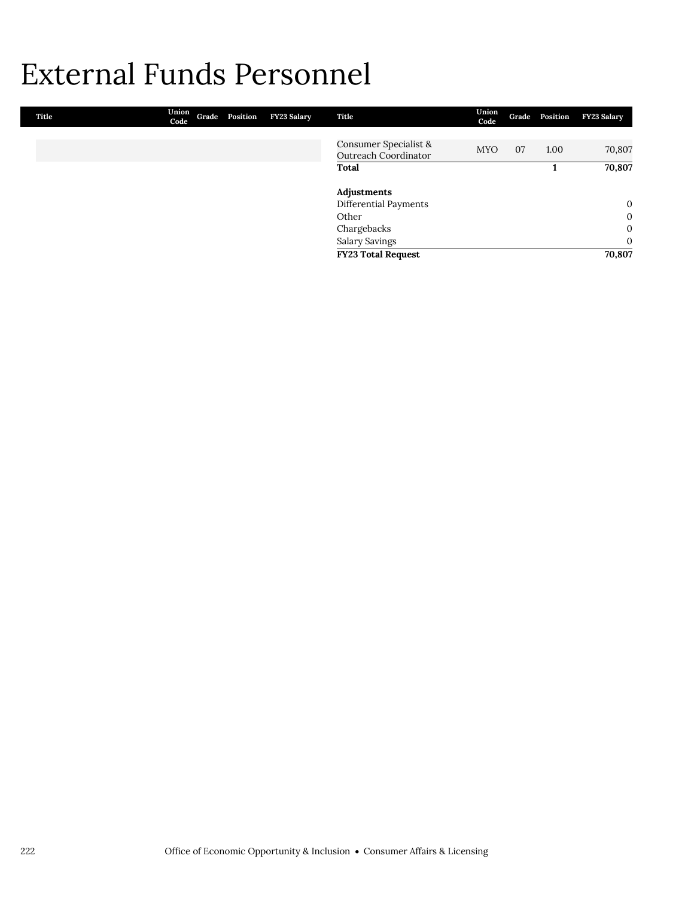### External Funds Personnel

| Title | Union<br>Code | Grade Position | FY23 Salary | Title                                         | Union<br>Code |    | Grade Position | <b>FY23 Salary</b> |
|-------|---------------|----------------|-------------|-----------------------------------------------|---------------|----|----------------|--------------------|
|       |               |                |             |                                               |               |    |                |                    |
|       |               |                |             | Consumer Specialist &<br>Outreach Coordinator | <b>MYO</b>    | 07 | 1.00           | 70,807             |
|       |               |                |             | Total                                         |               |    |                | 70,807             |
|       |               |                |             | Adjustments                                   |               |    |                |                    |
|       |               |                |             | Differential Payments                         |               |    |                | $\mathbf{0}$       |
|       |               |                |             | Other                                         |               |    |                | $\mathbf{0}$       |
|       |               |                |             | Chargebacks                                   |               |    |                | $\mathbf{0}$       |
|       |               |                |             | <b>Salary Savings</b>                         |               |    |                | $\mathbf{0}$       |
|       |               |                |             | <b>FY23 Total Request</b>                     |               |    |                | 70,807             |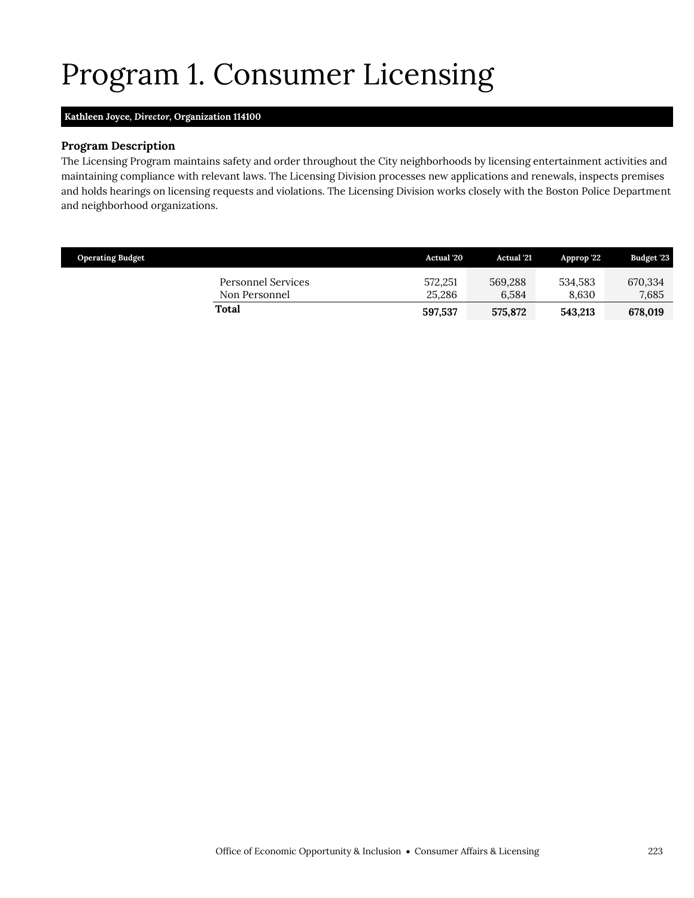## <span id="page-10-0"></span>Program 1. Consumer Licensing

### **Kathleen Joyce,** *Director,* **Organization 114100**

#### **Program Description**

The Licensing Program maintains safety and order throughout the City neighborhoods by licensing entertainment activities and maintaining compliance with relevant laws. The Licensing Division processes new applications and renewals, inspects premises and holds hearings on licensing requests and violations. The Licensing Division works closely with the Boston Police Department and neighborhood organizations.

| <b>Operating Budget</b>             | <b>Actual</b> '20 | <b>Actual</b> '21 | Approp '22       | <b>Budget '23</b> |
|-------------------------------------|-------------------|-------------------|------------------|-------------------|
| Personnel Services<br>Non Personnel | 572.251<br>25,286 | 569.288<br>6.584  | 534.583<br>8.630 | 670,334<br>7,685  |
| Total                               | 597,537           | 575,872           | 543.213          | 678,019           |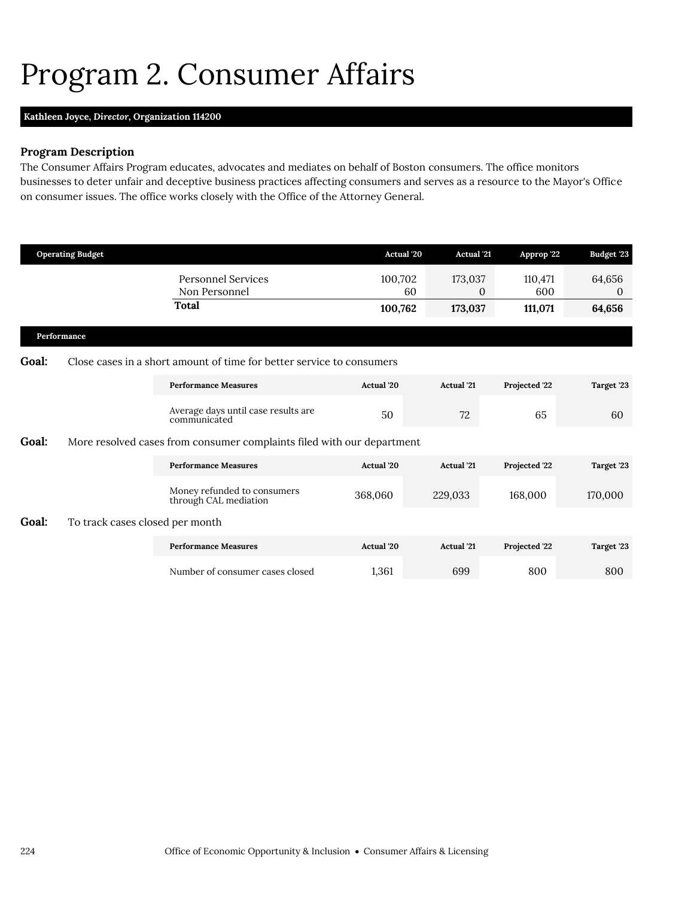### <span id="page-11-0"></span>Program 2. Consumer Affairs

### **Kathleen Joyce,** *Director,* **Organization 114200**

### **Program Description**

The Consumer Affairs Program educates, advocates and mediates on behalf of Boston consumers. The office monitors businesses to deter unfair and deceptive business practices affecting consumers and serves as a resource to the Mayor's Office on consumer issues. The office works closely with the Office of the Attorney General.

|       | <b>Operating Budget</b>         |                                                                        | Actual '20    | <b>Actual</b> '21       | Approp '22     | <b>Budget '23</b>  |
|-------|---------------------------------|------------------------------------------------------------------------|---------------|-------------------------|----------------|--------------------|
|       |                                 | <b>Personnel Services</b><br>Non Personnel                             | 100,702<br>60 | 173,037<br>$\mathbf{0}$ | 110,471<br>600 | 64,656<br>$\theta$ |
|       |                                 | Total                                                                  | 100,762       | 173,037                 | 111,071        | 64,656             |
|       | Performance                     |                                                                        |               |                         |                |                    |
| Goal: |                                 | Close cases in a short amount of time for better service to consumers  |               |                         |                |                    |
|       |                                 | <b>Performance Measures</b>                                            | Actual '20    | <b>Actual</b> '21       | Projected '22  | Target '23         |
|       |                                 | Average days until case results are<br>communicated                    | 50            | 72                      | 65             | 60                 |
| Goal: |                                 | More resolved cases from consumer complaints filed with our department |               |                         |                |                    |
|       |                                 | <b>Performance Measures</b>                                            | Actual '20    | <b>Actual</b> '21       | Projected '22  | Target '23         |
|       |                                 | Money refunded to consumers<br>through CAL mediation                   | 368,060       | 229,033                 | 168,000        | 170,000            |
| Goal: | To track cases closed per month |                                                                        |               |                         |                |                    |
|       |                                 | <b>Performance Measures</b>                                            | Actual '20    | <b>Actual</b> '21       | Projected '22  | Target '23         |
|       |                                 | Number of consumer cases closed                                        | 1,361         | 699                     | 800            | 800                |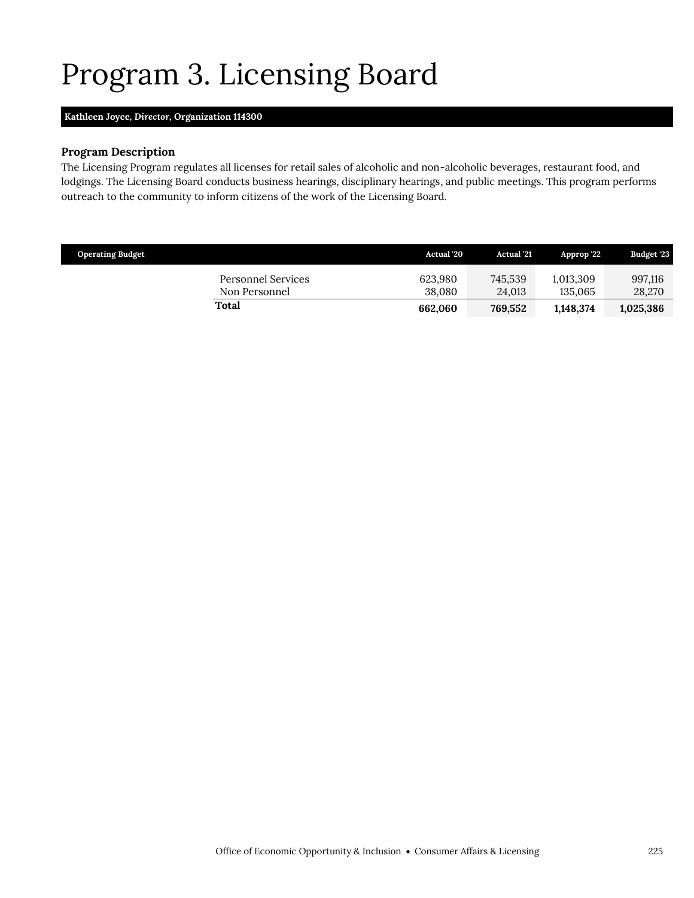## <span id="page-12-0"></span>Program 3. Licensing Board

### **Kathleen Joyce,** *Director,* **Organization 114300**

#### **Program Description**

The Licensing Program regulates all licenses for retail sales of alcoholic and non-alcoholic beverages, restaurant food, and lodgings. The Licensing Board conducts business hearings, disciplinary hearings, and public meetings. This program performs outreach to the community to inform citizens of the work of the Licensing Board.

| <b>Operating Budget</b>             | <b>Actual</b> '20 | <b>Actual</b> '21 | Approp '22'          | <b>Budget '23</b> |
|-------------------------------------|-------------------|-------------------|----------------------|-------------------|
| Personnel Services<br>Non Personnel | 623.980<br>38.080 | 745.539<br>24.013 | 1.013.309<br>135.065 | 997,116<br>28,270 |
| Total                               | 662.060           | 769.552           | 1,148,374            | 1,025,386         |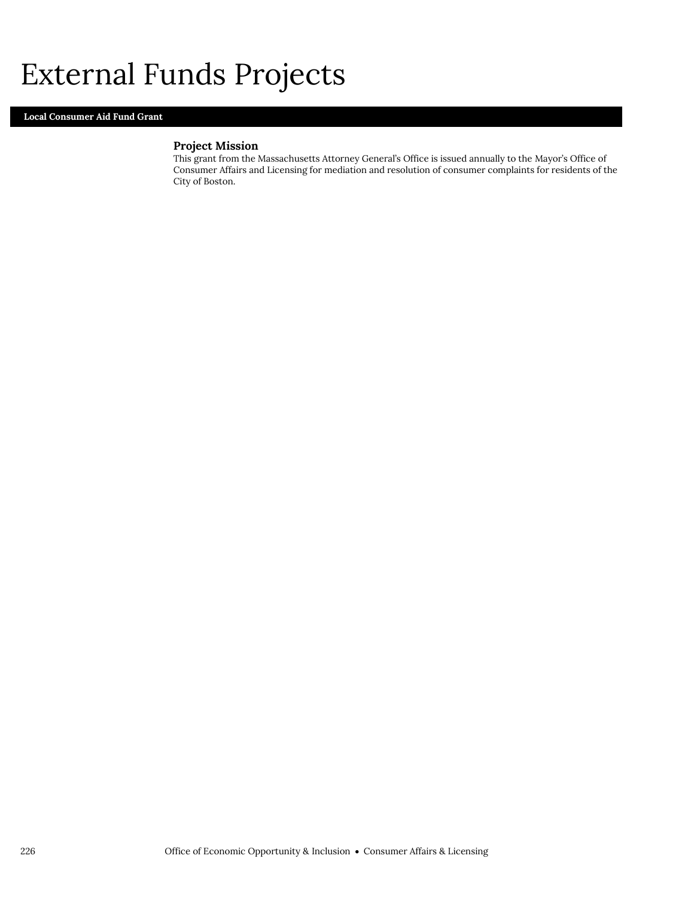### External Funds Projects

### **Local Consumer Aid Fund Grant**

### **Project Mission**

This grant from the Massachusetts Attorney General's Office is issued annually to the Mayor's Office of Consumer Affairs and Licensing for mediation and resolution of consumer complaints for residents of the City of Boston.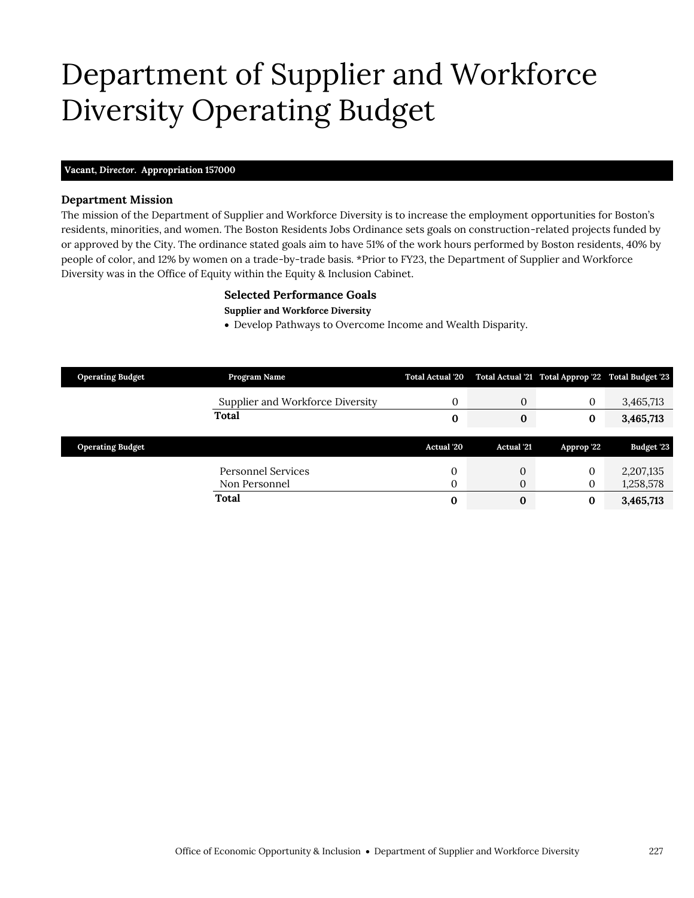### Department of Supplier and Workforce Diversity Operating Budget

#### **Vacant,** *Director.* **Appropriation 157000**

#### **Department Mission**

The mission of the Department of Supplier and Workforce Diversity is to increase the employment opportunities for Boston's residents, minorities, and women. The Boston Residents Jobs Ordinance sets goals on construction-related projects funded by or approved by the City. The ordinance stated goals aim to have 51% of the work hours performed by Boston residents, 40% by people of color, and 12% by women on a trade-by-trade basis. \*Prior to FY23, the Department of Supplier and Workforce Diversity was in the Office of Equity within the Equity & Inclusion Cabinet.

#### <span id="page-14-0"></span>**Selected Performance Goals**

**Supplier and Workforce Diversity**

Develop Pathways to Overcome Income and Wealth Disparity.

| <b>Operating Budget</b> | Program Name                     | <b>Total Actual '20</b> |                   | Total Actual '21 Total Approp '22 Total Budget '23 |            |
|-------------------------|----------------------------------|-------------------------|-------------------|----------------------------------------------------|------------|
|                         | Supplier and Workforce Diversity | 0                       | $\boldsymbol{0}$  | $\mathbf{0}$                                       | 3,465,713  |
|                         | Total                            | 0                       | $\bf{0}$          | $\bf{0}$                                           | 3,465,713  |
|                         |                                  |                         |                   |                                                    |            |
| <b>Operating Budget</b> |                                  | Actual '20              | <b>Actual</b> '21 | Approp '22                                         | Budget '23 |
|                         |                                  |                         |                   |                                                    |            |
|                         | Personnel Services               | $\mathbf{0}$            | $\overline{0}$    | 0                                                  | 2,207,135  |
|                         | Non Personnel                    | $\Omega$                | $\mathbf{0}$      | 0                                                  | 1,258,578  |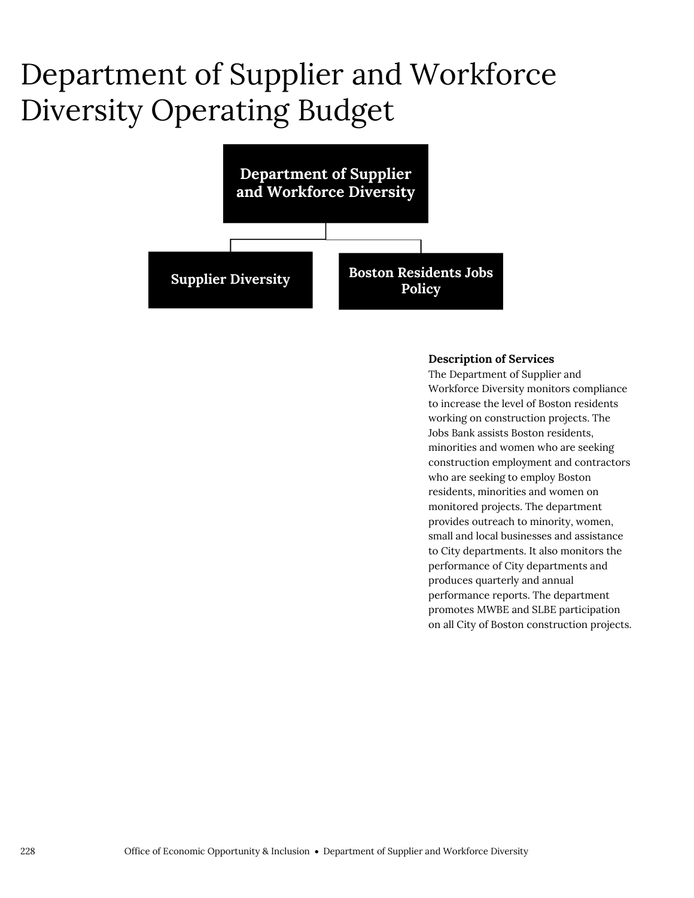### Department of Supplier and Workforce Diversity Operating Budget



#### **Description of Services**

The Department of Supplier and Workforce Diversity monitors compliance to increase the level of Boston residents working on construction projects. The Jobs Bank assists Boston residents, minorities and women who are seeking construction employment and contractors who are seeking to employ Boston residents, minorities and women on monitored projects. The department provides outreach to minority, women, small and local businesses and assistance to City departments. It also monitors the performance of City departments and produces quarterly and annual performance reports. The department promotes MWBE and SLBE participation on all City of Boston construction projects.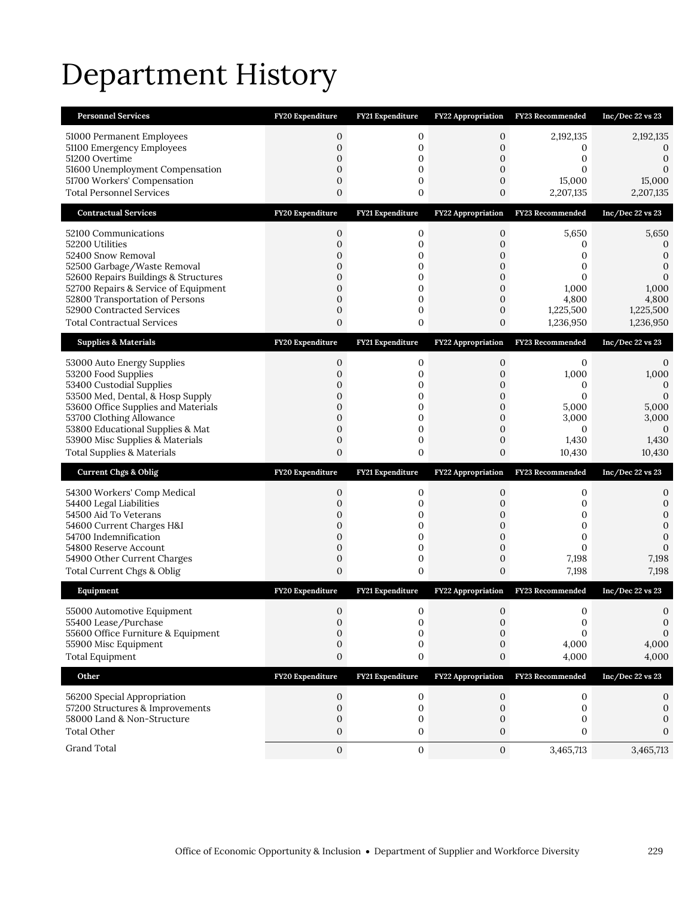## Department History

| <b>Personnel Services</b>                                                                                                                                                                                                                                                                            | FY20 Expenditure                                                                                                                                 | FY21 Expenditure                          | <b>FY22 Appropriation</b>                                                                                     | FY23 Recommended                                                                            | $Inc/Dec$ 22 vs 23                                                                                             |
|------------------------------------------------------------------------------------------------------------------------------------------------------------------------------------------------------------------------------------------------------------------------------------------------------|--------------------------------------------------------------------------------------------------------------------------------------------------|-------------------------------------------|---------------------------------------------------------------------------------------------------------------|---------------------------------------------------------------------------------------------|----------------------------------------------------------------------------------------------------------------|
| 51000 Permanent Employees<br>51100 Emergency Employees<br>51200 Overtime<br>51600 Unemployment Compensation<br>51700 Workers' Compensation                                                                                                                                                           | 0<br>$\boldsymbol{0}$<br>0<br>$\overline{0}$<br>0                                                                                                | 0<br>0<br>0<br>0<br>0                     | 0<br>0<br>$\mathbf{0}$<br>0<br>0                                                                              | 2,192,135<br>0<br>$\mathbf{0}$<br>$\mathbf{0}$<br>15,000                                    | 2,192,135<br>0<br>$\boldsymbol{0}$<br>$\mathbf{0}$<br>15,000                                                   |
| <b>Total Personnel Services</b>                                                                                                                                                                                                                                                                      | 0                                                                                                                                                | 0                                         | 0                                                                                                             | 2,207,135                                                                                   | 2,207,135                                                                                                      |
| <b>Contractual Services</b>                                                                                                                                                                                                                                                                          | FY20 Expenditure                                                                                                                                 | FY21 Expenditure                          | <b>FY22 Appropriation</b>                                                                                     | FY23 Recommended                                                                            | $Inc/Dec$ 22 vs 23                                                                                             |
| 52100 Communications<br>52200 Utilities<br>52400 Snow Removal<br>52500 Garbage/Waste Removal<br>52600 Repairs Buildings & Structures<br>52700 Repairs & Service of Equipment<br>52800 Transportation of Persons<br>52900 Contracted Services<br><b>Total Contractual Services</b>                    | $\boldsymbol{0}$<br>0<br>$\overline{0}$<br>0<br>0<br>$\overline{0}$<br>$\overline{0}$<br>0<br>0                                                  | 0<br>0<br>0<br>0<br>0<br>0<br>0<br>0<br>0 | $\mathbf{0}$<br>$\mathbf{0}$<br>$\mathbf{0}$<br>0<br>$\mathbf{0}$<br>$\overline{0}$<br>$\mathbf{0}$<br>0<br>0 | 5,650<br>0<br>0<br>$\mathbf{0}$<br>$\mathbf{0}$<br>1,000<br>4,800<br>1,225,500<br>1,236,950 | 5,650<br>0<br>$\boldsymbol{0}$<br>$\boldsymbol{0}$<br>$\mathbf{0}$<br>1,000<br>4,800<br>1,225,500<br>1,236,950 |
| <b>Supplies &amp; Materials</b>                                                                                                                                                                                                                                                                      | FY20 Expenditure                                                                                                                                 | FY21 Expenditure                          | <b>FY22 Appropriation</b>                                                                                     | FY23 Recommended                                                                            | $Inc/Dec$ 22 vs 23                                                                                             |
| 53000 Auto Energy Supplies<br>53200 Food Supplies<br>53400 Custodial Supplies<br>53500 Med, Dental, & Hosp Supply<br>53600 Office Supplies and Materials<br>53700 Clothing Allowance<br>53800 Educational Supplies & Mat<br>53900 Misc Supplies & Materials<br><b>Total Supplies &amp; Materials</b> | $\mathbf 0$<br>$\overline{0}$<br>0<br>$\overline{0}$<br>$\overline{0}$<br>$\overline{0}$<br>$\overline{0}$<br>$\boldsymbol{0}$<br>$\overline{0}$ | 0<br>0<br>0<br>0<br>0<br>0<br>0<br>0<br>0 | 0<br>0<br>0<br>$\mathbf{0}$<br>0<br>0<br>$\mathbf{0}$<br>0<br>0                                               | 0<br>1,000<br>0<br>$\mathbf{0}$<br>5,000<br>3,000<br>$\mathbf{0}$<br>1,430<br>10,430        | 0<br>1,000<br>$\mathbf 0$<br>$\mathbf{0}$<br>5,000<br>3,000<br>$\mathbf{0}$<br>1,430<br>10,430                 |
|                                                                                                                                                                                                                                                                                                      |                                                                                                                                                  |                                           |                                                                                                               |                                                                                             |                                                                                                                |
| <b>Current Chgs &amp; Oblig</b>                                                                                                                                                                                                                                                                      | FY20 Expenditure                                                                                                                                 | FY21 Expenditure                          | FY22 Appropriation                                                                                            | FY23 Recommended                                                                            | Inc/Dec 22 vs 23                                                                                               |
| 54300 Workers' Comp Medical<br>54400 Legal Liabilities<br>54500 Aid To Veterans<br>54600 Current Charges H&I<br>54700 Indemnification<br>54800 Reserve Account<br>54900 Other Current Charges<br>Total Current Chgs & Oblig                                                                          | $\boldsymbol{0}$<br>0<br>0<br>0<br>$\overline{0}$<br>0<br>0<br>0                                                                                 | 0<br>0<br>0<br>0<br>0<br>0<br>0<br>0      | 0<br>$\mathbf 0$<br>0<br>$\mathbf 0$<br>$\mathbf{0}$<br>0<br>0<br>0                                           | 0<br>0<br>0<br>$\mathbf 0$<br>$\mathbf{0}$<br>$\mathbf{0}$<br>7,198<br>7,198                | 0<br>$\boldsymbol{0}$<br>$\mathbf{0}$<br>$\mathbf{0}$<br>$\mathbf 0$<br>$\mathbf{0}$<br>7,198<br>7,198         |
| Equipment                                                                                                                                                                                                                                                                                            | FY20 Expenditure                                                                                                                                 | FY21 Expenditure                          | <b>FY22 Appropriation</b>                                                                                     | <b>FY23 Recommended</b>                                                                     | $Inc/Dec$ 22 vs 23                                                                                             |
| 55000 Automotive Equipment<br>55400 Lease/Purchase<br>55600 Office Furniture & Equipment<br>55900 Misc Equipment<br><b>Total Equipment</b>                                                                                                                                                           | $\mathbf{0}$<br>0<br>0<br>0<br>0                                                                                                                 | $\mathbf{0}$<br>0<br>0<br>0<br>0          | $\mathbf{0}$<br>0<br>0<br>0<br>0                                                                              | 0<br>$\boldsymbol{0}$<br>$\mathbf{0}$<br>4,000<br>4,000                                     | 0<br>$\boldsymbol{0}$<br>$\mathbf{0}$<br>4,000<br>4,000                                                        |
| Other                                                                                                                                                                                                                                                                                                | FY20 Expenditure                                                                                                                                 | FY21 Expenditure                          | <b>FY22 Appropriation</b>                                                                                     | FY23 Recommended                                                                            | Inc/Dec 22 vs 23                                                                                               |
| 56200 Special Appropriation<br>57200 Structures & Improvements<br>58000 Land & Non-Structure<br><b>Total Other</b>                                                                                                                                                                                   | 0<br>0<br>0<br>0                                                                                                                                 | 0<br>0<br>0<br>0                          | 0<br>0<br>0<br>0                                                                                              | 0<br>$\mathbf{0}$<br>0<br>0                                                                 | 0<br>0<br>$\Omega$<br>0                                                                                        |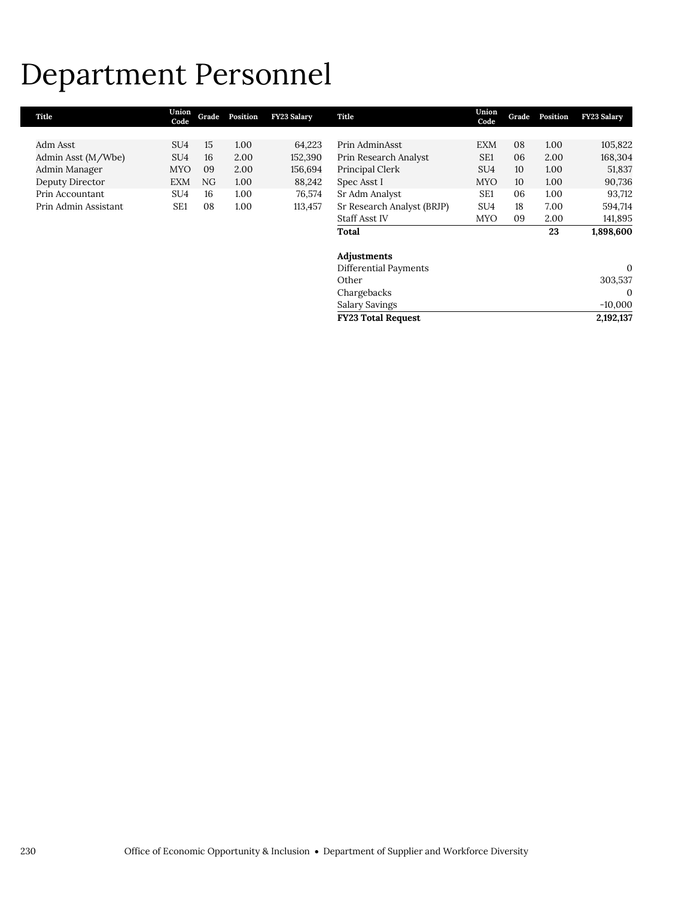### Department Personnel

| Title                | Union<br>Code   | Grade | Position | FY23 Salary | Title                      | Union<br>Code   | Grade | Position | FY23 Salary  |
|----------------------|-----------------|-------|----------|-------------|----------------------------|-----------------|-------|----------|--------------|
|                      |                 |       |          |             |                            |                 |       |          |              |
| Adm Asst             | SU4             | 15    | 1.00     | 64,223      | Prin AdminAsst             | <b>EXM</b>      | 08    | 1.00     | 105,822      |
| Admin Asst (M/Wbe)   | SU4             | 16    | 2.00     | 152,390     | Prin Research Analyst      | SE <sub>1</sub> | 06    | 2.00     | 168,304      |
| Admin Manager        | <b>MYO</b>      | 09    | 2.00     | 156,694     | Principal Clerk            | SU <sub>4</sub> | 10    | 1.00     | 51,837       |
| Deputy Director      | EXM             | NG    | 1.00     | 88,242      | Spec Asst I                | <b>MYO</b>      | 10    | 1.00     | 90,736       |
| Prin Accountant      | SU4             | 16    | 1.00     | 76,574      | Sr Adm Analyst             | SE <sub>1</sub> | 06    | 1.00     | 93,712       |
| Prin Admin Assistant | SE <sub>1</sub> | 08    | 1.00     | 113,457     | Sr Research Analyst (BRJP) | SU <sub>4</sub> | 18    | 7.00     | 594,714      |
|                      |                 |       |          |             | <b>Staff Asst IV</b>       | <b>MYO</b>      | 09    | 2.00     | 141,895      |
|                      |                 |       |          |             | Total                      |                 |       | 23       | 1,898,600    |
|                      |                 |       |          |             | Adjustments                |                 |       |          |              |
|                      |                 |       |          |             | Differential Payments      |                 |       |          | $\mathbf{0}$ |
|                      |                 |       |          |             | Other                      |                 |       |          | 303,537      |
|                      |                 |       |          |             | Chargebacks                |                 |       |          | $\mathbf{0}$ |
|                      |                 |       |          |             | Salary Savings             |                 |       |          | $-10,000$    |
|                      |                 |       |          |             | <b>FY23 Total Request</b>  |                 |       |          | 2,192,137    |
|                      |                 |       |          |             |                            |                 |       |          |              |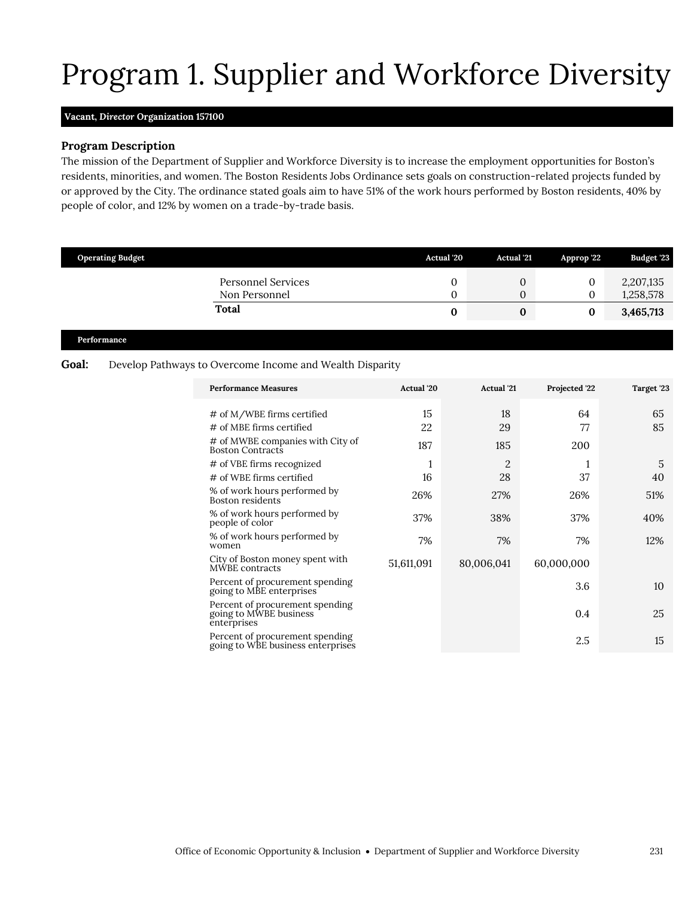# Program 1. Supplier and Workforce Diversity

#### <span id="page-18-0"></span>**Vacant,** *Director* **Organization 157100**

#### **Program Description**

The mission of the Department of Supplier and Workforce Diversity is to increase the employment opportunities for Boston's residents, minorities, and women. The Boston Residents Jobs Ordinance sets goals on construction-related projects funded by or approved by the City. The ordinance stated goals aim to have 51% of the work hours performed by Boston residents, 40% by people of color, and 12% by women on a trade-by-trade basis.

|       | <b>Operating Budget</b> |                                                                                                                                                                                                                                                                                  |                                          | Actual '20<br>Actual '21                              | Approp '22                                                         | Budget '23                        |
|-------|-------------------------|----------------------------------------------------------------------------------------------------------------------------------------------------------------------------------------------------------------------------------------------------------------------------------|------------------------------------------|-------------------------------------------------------|--------------------------------------------------------------------|-----------------------------------|
|       |                         | <b>Personnel Services</b><br>Non Personnel                                                                                                                                                                                                                                       |                                          | $\mathbf{0}$<br>0                                     | $\boldsymbol{0}$<br>$\mathbf{0}$<br>$\overline{0}$<br>$\mathbf{0}$ | 2,207,135<br>1,258,578            |
|       |                         | <b>Total</b>                                                                                                                                                                                                                                                                     |                                          | $\bf{0}$                                              | $\bf{0}$<br>$\bf{0}$                                               | 3,465,713                         |
|       | Performance             |                                                                                                                                                                                                                                                                                  |                                          |                                                       |                                                                    |                                   |
| Goal: |                         | Develop Pathways to Overcome Income and Wealth Disparity                                                                                                                                                                                                                         |                                          |                                                       |                                                                    |                                   |
|       |                         | <b>Performance Measures</b>                                                                                                                                                                                                                                                      | Actual '20                               | <b>Actual</b> '21                                     | Projected '22                                                      | Target '23                        |
|       |                         | # of M/WBE firms certified<br>$#$ of MBE firms certified<br># of MWBE companies with City of<br>Boston Contracts<br># of VBE firms recognized<br># of WBE firms certified<br>% of work hours performed by<br>Boston residents<br>% of work hours performed by<br>people of color | 15<br>22<br>187<br>1<br>16<br>26%<br>37% | 18<br>29<br>185<br>$\overline{2}$<br>28<br>27%<br>38% | 64<br>77<br>200<br>1<br>37<br>26%<br>37%                           | 65<br>85<br>5<br>40<br>51%<br>40% |
|       |                         | % of work hours performed by<br>women<br>City of Boston money spent with<br>MWBE contracts                                                                                                                                                                                       | 7%<br>51,611,091                         | 7%<br>80,006,041                                      | 7%<br>60,000,000                                                   | 12%                               |
|       |                         | Percent of procurement spending<br>going to MBE enterprises<br>Percent of procurement spending<br>going to MWBE business<br>enterprises                                                                                                                                          |                                          |                                                       | 3.6<br>0.4                                                         | 10<br>25                          |
|       |                         | Percent of procurement spending<br>going to WBE business enterprises                                                                                                                                                                                                             |                                          |                                                       | 2.5                                                                | 15                                |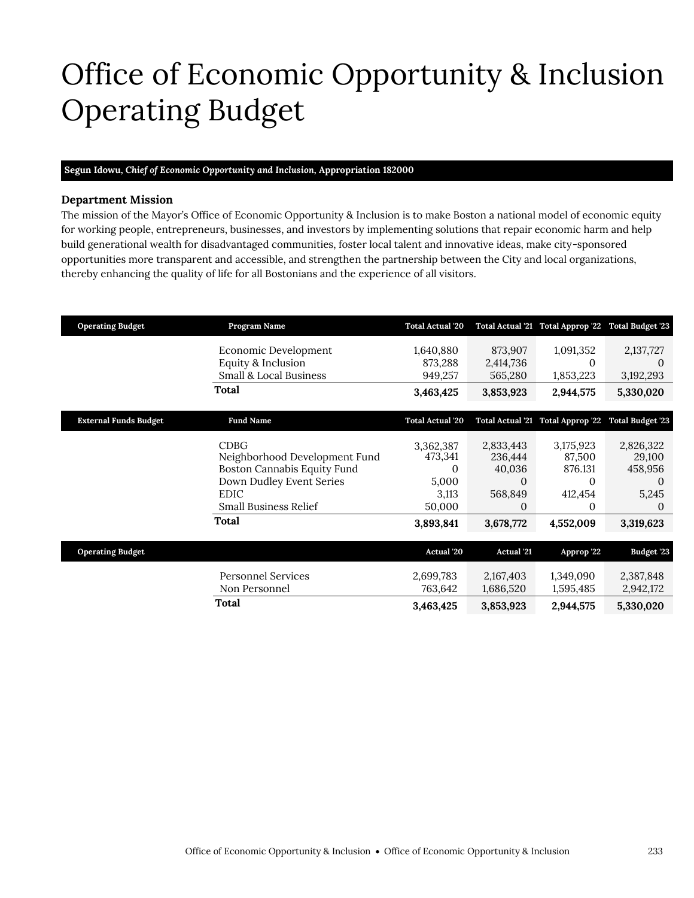## <span id="page-20-0"></span>Office of Economic Opportunity & Inclusion Operating Budget

#### **Segun Idowu,** *Chief of Economic Opportunity and Inclusion,* **Appropriation 182000**

#### **Department Mission**

The mission of the Mayor's Office of Economic Opportunity & Inclusion is to make Boston a national model of economic equity for working people, entrepreneurs, businesses, and investors by implementing solutions that repair economic harm and help build generational wealth for disadvantaged communities, foster local talent and innovative ideas, make city-sponsored opportunities more transparent and accessible, and strengthen the partnership between the City and local organizations, thereby enhancing the quality of life for all Bostonians and the experience of all visitors.

| <b>Operating Budget</b>      | Program Name                  | <b>Total Actual '20</b> |                   | Total Actual '21 Total Approp '22 | <b>Total Budget '23</b> |
|------------------------------|-------------------------------|-------------------------|-------------------|-----------------------------------|-------------------------|
|                              | Economic Development          | 1,640,880               | 873,907           | 1,091,352                         | 2,137,727               |
|                              | Equity & Inclusion            | 873,288                 | 2,414,736         | $\Omega$                          | 0                       |
|                              | Small & Local Business        | 949,257                 |                   |                                   |                         |
|                              |                               |                         | 565,280           | 1,853,223                         | 3,192,293               |
|                              | Total                         | 3,463,425               | 3,853,923         | 2,944,575                         | 5,330,020               |
|                              |                               |                         |                   |                                   |                         |
| <b>External Funds Budget</b> | <b>Fund Name</b>              | <b>Total Actual '20</b> |                   | Total Actual '21 Total Approp '22 | <b>Total Budget '23</b> |
|                              |                               |                         |                   |                                   |                         |
|                              | <b>CDBG</b>                   | 3,362,387               | 2,833,443         | 3,175,923                         | 2,826,322               |
|                              | Neighborhood Development Fund | 473,341                 | 236,444           | 87,500                            | 29,100                  |
|                              | Boston Cannabis Equity Fund   | 0                       | 40,036            | 876.131                           | 458,956                 |
|                              | Down Dudley Event Series      | 5,000                   | $\Omega$          | $\Omega$                          | $\Omega$                |
|                              | <b>EDIC</b>                   | 3,113                   | 568,849           | 412,454                           | 5,245                   |
|                              | <b>Small Business Relief</b>  | 50,000                  | $\Omega$          | $\Omega$                          | 0                       |
|                              | <b>Total</b>                  | 3,893,841               | 3,678,772         | 4,552,009                         | 3,319,623               |
|                              |                               |                         |                   |                                   |                         |
| <b>Operating Budget</b>      |                               | <b>Actual</b> '20       | <b>Actual</b> '21 | Approp '22                        | Budget '23              |
|                              |                               |                         |                   |                                   |                         |
|                              | <b>Personnel Services</b>     | 2,699,783               | 2,167,403         | 1,349,090                         | 2,387,848               |
|                              | Non Personnel                 | 763,642                 | 1,686,520         | 1,595,485                         | 2,942,172               |
|                              | Total                         | 3,463,425               | 3,853,923         | 2,944,575                         | 5,330,020               |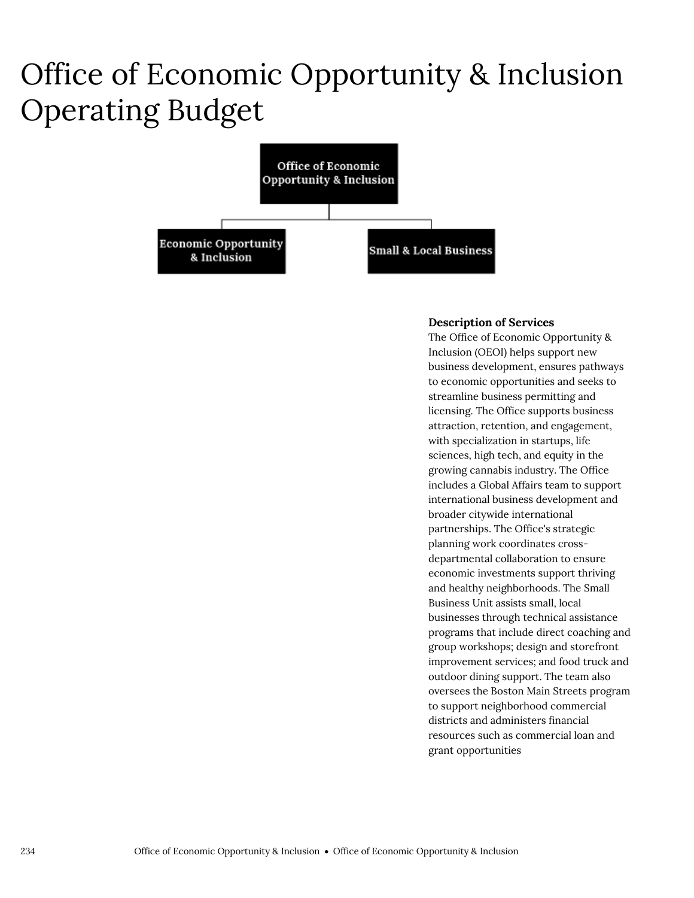### Office of Economic Opportunity & Inclusion Operating Budget



#### **Description of Services**

The Office of Economic Opportunity & Inclusion (OEOI) helps support new business development, ensures pathways to economic opportunities and seeks to streamline business permitting and licensing. The Office supports business attraction, retention, and engagement, with specialization in startups, life sciences, high tech, and equity in the growing cannabis industry. The Office includes a Global Affairs team to support international business development and broader citywide international partnerships. The Office's strategic planning work coordinates crossdepartmental collaboration to ensure economic investments support thriving and healthy neighborhoods. The Small Business Unit assists small, local businesses through technical assistance programs that include direct coaching and group workshops; design and storefront improvement services; and food truck and outdoor dining support. The team also oversees the Boston Main Streets program to support neighborhood commercial districts and administers financial resources such as commercial loan and grant opportunities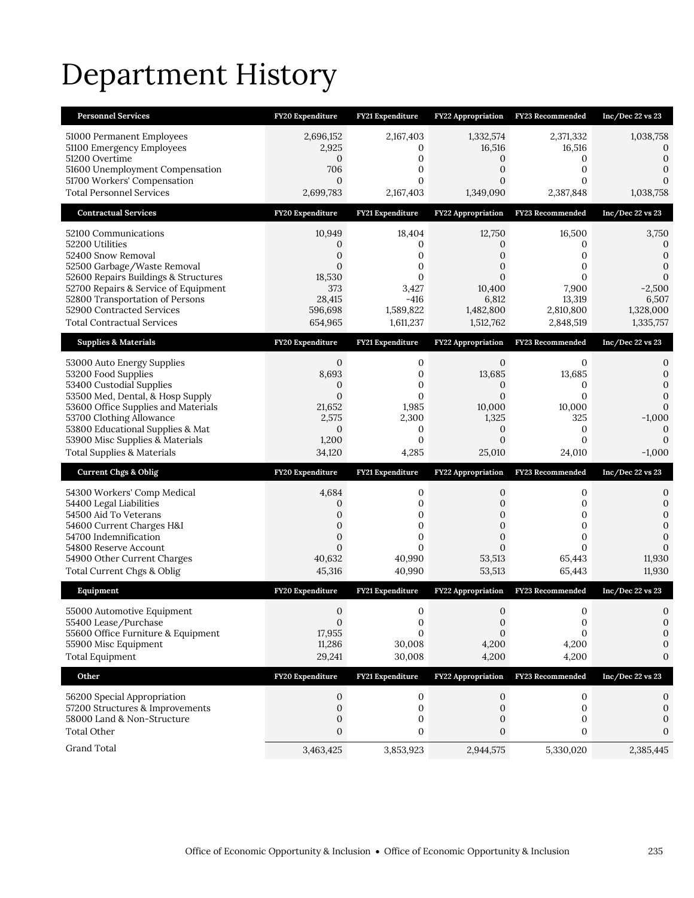## Department History

| 2,696,152<br>2,167,403<br>1,332,574<br>2,371,332<br>1,038,758<br>51000 Permanent Employees<br>51100 Emergency Employees<br>2,925<br>16,516<br>16,516<br>0<br>0<br>51200 Overtime<br>$\mathbf{0}$<br>0<br>0<br>$\mathbf{0}$<br>0<br>$\mathbf{0}$<br>0<br>51600 Unemployment Compensation<br>706<br>0<br>51700 Workers' Compensation<br>$\boldsymbol{0}$<br>0<br>$\overline{0}$<br>0<br>$\Omega$<br><b>Total Personnel Services</b><br>2,699,783<br>2,167,403<br>1,349,090<br>2,387,848<br>1,038,758<br><b>Contractual Services</b><br>FY20 Expenditure<br>FY21 Expenditure<br><b>FY22 Appropriation</b><br><b>FY23</b> Recommended<br>$Inc/Dec$ 22 vs 23<br>10,949<br>18,404<br>12,750<br>16,500<br>3,750<br>52100 Communications<br>52200 Utilities<br>0<br>0<br>0<br>0<br>0<br>52400 Snow Removal<br>0<br>0<br>0<br>0<br>$\Omega$<br>52500 Garbage/Waste Removal<br>$\Omega$<br>0<br>0<br>0<br>0<br>18,530<br>$\mathbf{0}$<br>$\overline{0}$<br>0<br>$\Omega$<br>52600 Repairs Buildings & Structures<br>52700 Repairs & Service of Equipment<br>373<br>3,427<br>10,400<br>7,900<br>$-2,500$<br>52800 Transportation of Persons<br>28,415<br>6,812<br>13,319<br>6,507<br>$-416$<br>52900 Contracted Services<br>596,698<br>1,589,822<br>1,482,800<br>2,810,800<br>1,328,000<br><b>Total Contractual Services</b><br>654,965<br>1,611,237<br>1,512,762<br>2,848,519<br>1,335,757<br><b>Supplies &amp; Materials</b><br>FY20 Expenditure<br>FY21 Expenditure<br>FY22 Appropriation<br>FY23 Recommended<br>Inc/Dec 22 vs 23<br>$\mathbf{0}$<br>0<br>$\mathbf{0}$<br>0<br>53000 Auto Energy Supplies<br>0<br>53200 Food Supplies<br>8,693<br>13,685<br>13,685<br>$\mathbf{0}$<br>$\mathbf{0}$<br>53400 Custodial Supplies<br>0<br>$\Omega$<br>0<br>0<br>0<br>53500 Med, Dental, & Hosp Supply<br>$\mathbf{0}$<br>$\overline{0}$<br>$\mathbf{0}$<br>0<br>$\mathbf{0}$<br>53600 Office Supplies and Materials<br>21,652<br>1,985<br>10,000<br>10,000<br>$\Omega$<br>53700 Clothing Allowance<br>2,300<br>1,325<br>325<br>2,575<br>$-1,000$<br>53800 Educational Supplies & Mat<br>$\mathbf{0}$<br>0<br>0<br>$\mathbf{0}$<br>$\mathbf{0}$<br>53900 Misc Supplies & Materials<br>1,200<br>$\mathbf{0}$<br>0<br>0<br>$\Omega$<br><b>Total Supplies &amp; Materials</b><br>34,120<br>4,285<br>25,010<br>24,010<br>$-1,000$<br><b>Current Chgs &amp; Oblig</b><br>FY20 Expenditure<br>FY21 Expenditure<br><b>FY22 Appropriation</b><br>FY23 Recommended<br>Inc/Dec 22 vs 23<br>0<br>0<br>0<br>4,684<br>54300 Workers' Comp Medical<br>0<br>0<br>$\overline{0}$<br>0<br>54400 Legal Liabilities<br>$\mathbf{0}$<br>0<br>54500 Aid To Veterans<br>0<br>0<br>0<br>0<br>$\mathbf{0}$<br>$\mathbf 0$<br>0<br>$\mathbf 0$<br>0<br>54600 Current Charges H&I<br>$\mathbf{0}$<br>$\overline{0}$<br>$\mathbf{0}$<br>$\overline{0}$<br>0<br>54700 Indemnification<br>$\mathbf{0}$<br>$\Omega$<br>$\Omega$<br>$\overline{0}$<br>$\Omega$<br>54800 Reserve Account<br>$\Omega$<br>54900 Other Current Charges<br>40,632<br>40,990<br>53,513<br>65,443<br>11,930<br>Total Current Chgs & Oblig<br>53,513<br>45,316<br>40,990<br>65,443<br>11,930<br>FY20 Expenditure<br><b>FY22 Appropriation</b><br>Equipment<br>FY21 Expenditure<br>FY23 Recommended<br>Inc/Dec 22 vs 23<br>$\mathbf{0}$<br>$\mathbf{0}$<br>0<br>$\mathbf{0}$<br>0<br>55000 Automotive Equipment<br>55400 Lease/Purchase<br>$\boldsymbol{0}$<br>$\boldsymbol{0}$<br>$\mathbf 0$<br>0<br>0<br>55600 Office Furniture & Equipment<br>17,955<br>$\Omega$<br>0<br>$\Omega$<br>0<br>55900 Misc Equipment<br>11,286<br>30,008<br>4,200<br>4,200<br>0<br><b>Total Equipment</b><br>29,241<br>30,008<br>4,200<br>4,200<br>0<br>Other<br>FY20 Expenditure<br>FY21 Expenditure<br>FY23 Recommended<br>Inc/Dec 22 vs 23<br><b>FY22 Appropriation</b><br>56200 Special Appropriation<br>0<br>0<br>0<br>0<br>0<br>57200 Structures & Improvements<br>$\mathbf{0}$<br>0<br>$\mathbf{0}$<br>0<br>0<br>58000 Land & Non-Structure<br>0<br>0<br>0<br>0<br>0 | <b>Personnel Services</b> | FY20 Expenditure | FY21 Expenditure | <b>FY22 Appropriation</b> | FY23 Recommended | Inc/Dec $22$ vs $23$ |
|---------------------------------------------------------------------------------------------------------------------------------------------------------------------------------------------------------------------------------------------------------------------------------------------------------------------------------------------------------------------------------------------------------------------------------------------------------------------------------------------------------------------------------------------------------------------------------------------------------------------------------------------------------------------------------------------------------------------------------------------------------------------------------------------------------------------------------------------------------------------------------------------------------------------------------------------------------------------------------------------------------------------------------------------------------------------------------------------------------------------------------------------------------------------------------------------------------------------------------------------------------------------------------------------------------------------------------------------------------------------------------------------------------------------------------------------------------------------------------------------------------------------------------------------------------------------------------------------------------------------------------------------------------------------------------------------------------------------------------------------------------------------------------------------------------------------------------------------------------------------------------------------------------------------------------------------------------------------------------------------------------------------------------------------------------------------------------------------------------------------------------------------------------------------------------------------------------------------------------------------------------------------------------------------------------------------------------------------------------------------------------------------------------------------------------------------------------------------------------------------------------------------------------------------------------------------------------------------------------------------------------------------------------------------------------------------------------------------------------------------------------------------------------------------------------------------------------------------------------------------------------------------------------------------------------------------------------------------------------------------------------------------------------------------------------------------------------------------------------------------------------------------------------------------------------------------------------------------------------------------------------------------------------------------------------------------------------------------------------------------------------------------------------------------------------------------------------------------------------------------------------------------------------------------------------------------------------------------------------------------------------------------------------------------------------------------------------------------------------------------------------------------------------------------------------------------------------------------------------------------------------------------------------------------------------------------------------------------------------------|---------------------------|------------------|------------------|---------------------------|------------------|----------------------|
|                                                                                                                                                                                                                                                                                                                                                                                                                                                                                                                                                                                                                                                                                                                                                                                                                                                                                                                                                                                                                                                                                                                                                                                                                                                                                                                                                                                                                                                                                                                                                                                                                                                                                                                                                                                                                                                                                                                                                                                                                                                                                                                                                                                                                                                                                                                                                                                                                                                                                                                                                                                                                                                                                                                                                                                                                                                                                                                                                                                                                                                                                                                                                                                                                                                                                                                                                                                                                                                                                                                                                                                                                                                                                                                                                                                                                                                                                                                                                                                       |                           |                  |                  |                           |                  |                      |
|                                                                                                                                                                                                                                                                                                                                                                                                                                                                                                                                                                                                                                                                                                                                                                                                                                                                                                                                                                                                                                                                                                                                                                                                                                                                                                                                                                                                                                                                                                                                                                                                                                                                                                                                                                                                                                                                                                                                                                                                                                                                                                                                                                                                                                                                                                                                                                                                                                                                                                                                                                                                                                                                                                                                                                                                                                                                                                                                                                                                                                                                                                                                                                                                                                                                                                                                                                                                                                                                                                                                                                                                                                                                                                                                                                                                                                                                                                                                                                                       |                           |                  |                  |                           |                  |                      |
|                                                                                                                                                                                                                                                                                                                                                                                                                                                                                                                                                                                                                                                                                                                                                                                                                                                                                                                                                                                                                                                                                                                                                                                                                                                                                                                                                                                                                                                                                                                                                                                                                                                                                                                                                                                                                                                                                                                                                                                                                                                                                                                                                                                                                                                                                                                                                                                                                                                                                                                                                                                                                                                                                                                                                                                                                                                                                                                                                                                                                                                                                                                                                                                                                                                                                                                                                                                                                                                                                                                                                                                                                                                                                                                                                                                                                                                                                                                                                                                       |                           |                  |                  |                           |                  |                      |
|                                                                                                                                                                                                                                                                                                                                                                                                                                                                                                                                                                                                                                                                                                                                                                                                                                                                                                                                                                                                                                                                                                                                                                                                                                                                                                                                                                                                                                                                                                                                                                                                                                                                                                                                                                                                                                                                                                                                                                                                                                                                                                                                                                                                                                                                                                                                                                                                                                                                                                                                                                                                                                                                                                                                                                                                                                                                                                                                                                                                                                                                                                                                                                                                                                                                                                                                                                                                                                                                                                                                                                                                                                                                                                                                                                                                                                                                                                                                                                                       |                           |                  |                  |                           |                  |                      |
|                                                                                                                                                                                                                                                                                                                                                                                                                                                                                                                                                                                                                                                                                                                                                                                                                                                                                                                                                                                                                                                                                                                                                                                                                                                                                                                                                                                                                                                                                                                                                                                                                                                                                                                                                                                                                                                                                                                                                                                                                                                                                                                                                                                                                                                                                                                                                                                                                                                                                                                                                                                                                                                                                                                                                                                                                                                                                                                                                                                                                                                                                                                                                                                                                                                                                                                                                                                                                                                                                                                                                                                                                                                                                                                                                                                                                                                                                                                                                                                       |                           |                  |                  |                           |                  |                      |
|                                                                                                                                                                                                                                                                                                                                                                                                                                                                                                                                                                                                                                                                                                                                                                                                                                                                                                                                                                                                                                                                                                                                                                                                                                                                                                                                                                                                                                                                                                                                                                                                                                                                                                                                                                                                                                                                                                                                                                                                                                                                                                                                                                                                                                                                                                                                                                                                                                                                                                                                                                                                                                                                                                                                                                                                                                                                                                                                                                                                                                                                                                                                                                                                                                                                                                                                                                                                                                                                                                                                                                                                                                                                                                                                                                                                                                                                                                                                                                                       |                           |                  |                  |                           |                  |                      |
|                                                                                                                                                                                                                                                                                                                                                                                                                                                                                                                                                                                                                                                                                                                                                                                                                                                                                                                                                                                                                                                                                                                                                                                                                                                                                                                                                                                                                                                                                                                                                                                                                                                                                                                                                                                                                                                                                                                                                                                                                                                                                                                                                                                                                                                                                                                                                                                                                                                                                                                                                                                                                                                                                                                                                                                                                                                                                                                                                                                                                                                                                                                                                                                                                                                                                                                                                                                                                                                                                                                                                                                                                                                                                                                                                                                                                                                                                                                                                                                       |                           |                  |                  |                           |                  |                      |
|                                                                                                                                                                                                                                                                                                                                                                                                                                                                                                                                                                                                                                                                                                                                                                                                                                                                                                                                                                                                                                                                                                                                                                                                                                                                                                                                                                                                                                                                                                                                                                                                                                                                                                                                                                                                                                                                                                                                                                                                                                                                                                                                                                                                                                                                                                                                                                                                                                                                                                                                                                                                                                                                                                                                                                                                                                                                                                                                                                                                                                                                                                                                                                                                                                                                                                                                                                                                                                                                                                                                                                                                                                                                                                                                                                                                                                                                                                                                                                                       |                           |                  |                  |                           |                  |                      |
|                                                                                                                                                                                                                                                                                                                                                                                                                                                                                                                                                                                                                                                                                                                                                                                                                                                                                                                                                                                                                                                                                                                                                                                                                                                                                                                                                                                                                                                                                                                                                                                                                                                                                                                                                                                                                                                                                                                                                                                                                                                                                                                                                                                                                                                                                                                                                                                                                                                                                                                                                                                                                                                                                                                                                                                                                                                                                                                                                                                                                                                                                                                                                                                                                                                                                                                                                                                                                                                                                                                                                                                                                                                                                                                                                                                                                                                                                                                                                                                       |                           |                  |                  |                           |                  |                      |
|                                                                                                                                                                                                                                                                                                                                                                                                                                                                                                                                                                                                                                                                                                                                                                                                                                                                                                                                                                                                                                                                                                                                                                                                                                                                                                                                                                                                                                                                                                                                                                                                                                                                                                                                                                                                                                                                                                                                                                                                                                                                                                                                                                                                                                                                                                                                                                                                                                                                                                                                                                                                                                                                                                                                                                                                                                                                                                                                                                                                                                                                                                                                                                                                                                                                                                                                                                                                                                                                                                                                                                                                                                                                                                                                                                                                                                                                                                                                                                                       |                           |                  |                  |                           |                  |                      |
|                                                                                                                                                                                                                                                                                                                                                                                                                                                                                                                                                                                                                                                                                                                                                                                                                                                                                                                                                                                                                                                                                                                                                                                                                                                                                                                                                                                                                                                                                                                                                                                                                                                                                                                                                                                                                                                                                                                                                                                                                                                                                                                                                                                                                                                                                                                                                                                                                                                                                                                                                                                                                                                                                                                                                                                                                                                                                                                                                                                                                                                                                                                                                                                                                                                                                                                                                                                                                                                                                                                                                                                                                                                                                                                                                                                                                                                                                                                                                                                       |                           |                  |                  |                           |                  |                      |
|                                                                                                                                                                                                                                                                                                                                                                                                                                                                                                                                                                                                                                                                                                                                                                                                                                                                                                                                                                                                                                                                                                                                                                                                                                                                                                                                                                                                                                                                                                                                                                                                                                                                                                                                                                                                                                                                                                                                                                                                                                                                                                                                                                                                                                                                                                                                                                                                                                                                                                                                                                                                                                                                                                                                                                                                                                                                                                                                                                                                                                                                                                                                                                                                                                                                                                                                                                                                                                                                                                                                                                                                                                                                                                                                                                                                                                                                                                                                                                                       |                           |                  |                  |                           |                  |                      |
|                                                                                                                                                                                                                                                                                                                                                                                                                                                                                                                                                                                                                                                                                                                                                                                                                                                                                                                                                                                                                                                                                                                                                                                                                                                                                                                                                                                                                                                                                                                                                                                                                                                                                                                                                                                                                                                                                                                                                                                                                                                                                                                                                                                                                                                                                                                                                                                                                                                                                                                                                                                                                                                                                                                                                                                                                                                                                                                                                                                                                                                                                                                                                                                                                                                                                                                                                                                                                                                                                                                                                                                                                                                                                                                                                                                                                                                                                                                                                                                       |                           |                  |                  |                           |                  |                      |
|                                                                                                                                                                                                                                                                                                                                                                                                                                                                                                                                                                                                                                                                                                                                                                                                                                                                                                                                                                                                                                                                                                                                                                                                                                                                                                                                                                                                                                                                                                                                                                                                                                                                                                                                                                                                                                                                                                                                                                                                                                                                                                                                                                                                                                                                                                                                                                                                                                                                                                                                                                                                                                                                                                                                                                                                                                                                                                                                                                                                                                                                                                                                                                                                                                                                                                                                                                                                                                                                                                                                                                                                                                                                                                                                                                                                                                                                                                                                                                                       |                           |                  |                  |                           |                  |                      |
|                                                                                                                                                                                                                                                                                                                                                                                                                                                                                                                                                                                                                                                                                                                                                                                                                                                                                                                                                                                                                                                                                                                                                                                                                                                                                                                                                                                                                                                                                                                                                                                                                                                                                                                                                                                                                                                                                                                                                                                                                                                                                                                                                                                                                                                                                                                                                                                                                                                                                                                                                                                                                                                                                                                                                                                                                                                                                                                                                                                                                                                                                                                                                                                                                                                                                                                                                                                                                                                                                                                                                                                                                                                                                                                                                                                                                                                                                                                                                                                       |                           |                  |                  |                           |                  |                      |
|                                                                                                                                                                                                                                                                                                                                                                                                                                                                                                                                                                                                                                                                                                                                                                                                                                                                                                                                                                                                                                                                                                                                                                                                                                                                                                                                                                                                                                                                                                                                                                                                                                                                                                                                                                                                                                                                                                                                                                                                                                                                                                                                                                                                                                                                                                                                                                                                                                                                                                                                                                                                                                                                                                                                                                                                                                                                                                                                                                                                                                                                                                                                                                                                                                                                                                                                                                                                                                                                                                                                                                                                                                                                                                                                                                                                                                                                                                                                                                                       |                           |                  |                  |                           |                  |                      |
|                                                                                                                                                                                                                                                                                                                                                                                                                                                                                                                                                                                                                                                                                                                                                                                                                                                                                                                                                                                                                                                                                                                                                                                                                                                                                                                                                                                                                                                                                                                                                                                                                                                                                                                                                                                                                                                                                                                                                                                                                                                                                                                                                                                                                                                                                                                                                                                                                                                                                                                                                                                                                                                                                                                                                                                                                                                                                                                                                                                                                                                                                                                                                                                                                                                                                                                                                                                                                                                                                                                                                                                                                                                                                                                                                                                                                                                                                                                                                                                       |                           |                  |                  |                           |                  |                      |
|                                                                                                                                                                                                                                                                                                                                                                                                                                                                                                                                                                                                                                                                                                                                                                                                                                                                                                                                                                                                                                                                                                                                                                                                                                                                                                                                                                                                                                                                                                                                                                                                                                                                                                                                                                                                                                                                                                                                                                                                                                                                                                                                                                                                                                                                                                                                                                                                                                                                                                                                                                                                                                                                                                                                                                                                                                                                                                                                                                                                                                                                                                                                                                                                                                                                                                                                                                                                                                                                                                                                                                                                                                                                                                                                                                                                                                                                                                                                                                                       |                           |                  |                  |                           |                  |                      |
|                                                                                                                                                                                                                                                                                                                                                                                                                                                                                                                                                                                                                                                                                                                                                                                                                                                                                                                                                                                                                                                                                                                                                                                                                                                                                                                                                                                                                                                                                                                                                                                                                                                                                                                                                                                                                                                                                                                                                                                                                                                                                                                                                                                                                                                                                                                                                                                                                                                                                                                                                                                                                                                                                                                                                                                                                                                                                                                                                                                                                                                                                                                                                                                                                                                                                                                                                                                                                                                                                                                                                                                                                                                                                                                                                                                                                                                                                                                                                                                       |                           |                  |                  |                           |                  |                      |
|                                                                                                                                                                                                                                                                                                                                                                                                                                                                                                                                                                                                                                                                                                                                                                                                                                                                                                                                                                                                                                                                                                                                                                                                                                                                                                                                                                                                                                                                                                                                                                                                                                                                                                                                                                                                                                                                                                                                                                                                                                                                                                                                                                                                                                                                                                                                                                                                                                                                                                                                                                                                                                                                                                                                                                                                                                                                                                                                                                                                                                                                                                                                                                                                                                                                                                                                                                                                                                                                                                                                                                                                                                                                                                                                                                                                                                                                                                                                                                                       |                           |                  |                  |                           |                  |                      |
|                                                                                                                                                                                                                                                                                                                                                                                                                                                                                                                                                                                                                                                                                                                                                                                                                                                                                                                                                                                                                                                                                                                                                                                                                                                                                                                                                                                                                                                                                                                                                                                                                                                                                                                                                                                                                                                                                                                                                                                                                                                                                                                                                                                                                                                                                                                                                                                                                                                                                                                                                                                                                                                                                                                                                                                                                                                                                                                                                                                                                                                                                                                                                                                                                                                                                                                                                                                                                                                                                                                                                                                                                                                                                                                                                                                                                                                                                                                                                                                       |                           |                  |                  |                           |                  |                      |
|                                                                                                                                                                                                                                                                                                                                                                                                                                                                                                                                                                                                                                                                                                                                                                                                                                                                                                                                                                                                                                                                                                                                                                                                                                                                                                                                                                                                                                                                                                                                                                                                                                                                                                                                                                                                                                                                                                                                                                                                                                                                                                                                                                                                                                                                                                                                                                                                                                                                                                                                                                                                                                                                                                                                                                                                                                                                                                                                                                                                                                                                                                                                                                                                                                                                                                                                                                                                                                                                                                                                                                                                                                                                                                                                                                                                                                                                                                                                                                                       |                           |                  |                  |                           |                  |                      |
|                                                                                                                                                                                                                                                                                                                                                                                                                                                                                                                                                                                                                                                                                                                                                                                                                                                                                                                                                                                                                                                                                                                                                                                                                                                                                                                                                                                                                                                                                                                                                                                                                                                                                                                                                                                                                                                                                                                                                                                                                                                                                                                                                                                                                                                                                                                                                                                                                                                                                                                                                                                                                                                                                                                                                                                                                                                                                                                                                                                                                                                                                                                                                                                                                                                                                                                                                                                                                                                                                                                                                                                                                                                                                                                                                                                                                                                                                                                                                                                       |                           |                  |                  |                           |                  |                      |
|                                                                                                                                                                                                                                                                                                                                                                                                                                                                                                                                                                                                                                                                                                                                                                                                                                                                                                                                                                                                                                                                                                                                                                                                                                                                                                                                                                                                                                                                                                                                                                                                                                                                                                                                                                                                                                                                                                                                                                                                                                                                                                                                                                                                                                                                                                                                                                                                                                                                                                                                                                                                                                                                                                                                                                                                                                                                                                                                                                                                                                                                                                                                                                                                                                                                                                                                                                                                                                                                                                                                                                                                                                                                                                                                                                                                                                                                                                                                                                                       |                           |                  |                  |                           |                  |                      |
|                                                                                                                                                                                                                                                                                                                                                                                                                                                                                                                                                                                                                                                                                                                                                                                                                                                                                                                                                                                                                                                                                                                                                                                                                                                                                                                                                                                                                                                                                                                                                                                                                                                                                                                                                                                                                                                                                                                                                                                                                                                                                                                                                                                                                                                                                                                                                                                                                                                                                                                                                                                                                                                                                                                                                                                                                                                                                                                                                                                                                                                                                                                                                                                                                                                                                                                                                                                                                                                                                                                                                                                                                                                                                                                                                                                                                                                                                                                                                                                       |                           |                  |                  |                           |                  |                      |
|                                                                                                                                                                                                                                                                                                                                                                                                                                                                                                                                                                                                                                                                                                                                                                                                                                                                                                                                                                                                                                                                                                                                                                                                                                                                                                                                                                                                                                                                                                                                                                                                                                                                                                                                                                                                                                                                                                                                                                                                                                                                                                                                                                                                                                                                                                                                                                                                                                                                                                                                                                                                                                                                                                                                                                                                                                                                                                                                                                                                                                                                                                                                                                                                                                                                                                                                                                                                                                                                                                                                                                                                                                                                                                                                                                                                                                                                                                                                                                                       |                           |                  |                  |                           |                  |                      |
|                                                                                                                                                                                                                                                                                                                                                                                                                                                                                                                                                                                                                                                                                                                                                                                                                                                                                                                                                                                                                                                                                                                                                                                                                                                                                                                                                                                                                                                                                                                                                                                                                                                                                                                                                                                                                                                                                                                                                                                                                                                                                                                                                                                                                                                                                                                                                                                                                                                                                                                                                                                                                                                                                                                                                                                                                                                                                                                                                                                                                                                                                                                                                                                                                                                                                                                                                                                                                                                                                                                                                                                                                                                                                                                                                                                                                                                                                                                                                                                       |                           |                  |                  |                           |                  |                      |
|                                                                                                                                                                                                                                                                                                                                                                                                                                                                                                                                                                                                                                                                                                                                                                                                                                                                                                                                                                                                                                                                                                                                                                                                                                                                                                                                                                                                                                                                                                                                                                                                                                                                                                                                                                                                                                                                                                                                                                                                                                                                                                                                                                                                                                                                                                                                                                                                                                                                                                                                                                                                                                                                                                                                                                                                                                                                                                                                                                                                                                                                                                                                                                                                                                                                                                                                                                                                                                                                                                                                                                                                                                                                                                                                                                                                                                                                                                                                                                                       |                           |                  |                  |                           |                  |                      |
|                                                                                                                                                                                                                                                                                                                                                                                                                                                                                                                                                                                                                                                                                                                                                                                                                                                                                                                                                                                                                                                                                                                                                                                                                                                                                                                                                                                                                                                                                                                                                                                                                                                                                                                                                                                                                                                                                                                                                                                                                                                                                                                                                                                                                                                                                                                                                                                                                                                                                                                                                                                                                                                                                                                                                                                                                                                                                                                                                                                                                                                                                                                                                                                                                                                                                                                                                                                                                                                                                                                                                                                                                                                                                                                                                                                                                                                                                                                                                                                       |                           |                  |                  |                           |                  |                      |
|                                                                                                                                                                                                                                                                                                                                                                                                                                                                                                                                                                                                                                                                                                                                                                                                                                                                                                                                                                                                                                                                                                                                                                                                                                                                                                                                                                                                                                                                                                                                                                                                                                                                                                                                                                                                                                                                                                                                                                                                                                                                                                                                                                                                                                                                                                                                                                                                                                                                                                                                                                                                                                                                                                                                                                                                                                                                                                                                                                                                                                                                                                                                                                                                                                                                                                                                                                                                                                                                                                                                                                                                                                                                                                                                                                                                                                                                                                                                                                                       |                           |                  |                  |                           |                  |                      |
|                                                                                                                                                                                                                                                                                                                                                                                                                                                                                                                                                                                                                                                                                                                                                                                                                                                                                                                                                                                                                                                                                                                                                                                                                                                                                                                                                                                                                                                                                                                                                                                                                                                                                                                                                                                                                                                                                                                                                                                                                                                                                                                                                                                                                                                                                                                                                                                                                                                                                                                                                                                                                                                                                                                                                                                                                                                                                                                                                                                                                                                                                                                                                                                                                                                                                                                                                                                                                                                                                                                                                                                                                                                                                                                                                                                                                                                                                                                                                                                       |                           |                  |                  |                           |                  |                      |
|                                                                                                                                                                                                                                                                                                                                                                                                                                                                                                                                                                                                                                                                                                                                                                                                                                                                                                                                                                                                                                                                                                                                                                                                                                                                                                                                                                                                                                                                                                                                                                                                                                                                                                                                                                                                                                                                                                                                                                                                                                                                                                                                                                                                                                                                                                                                                                                                                                                                                                                                                                                                                                                                                                                                                                                                                                                                                                                                                                                                                                                                                                                                                                                                                                                                                                                                                                                                                                                                                                                                                                                                                                                                                                                                                                                                                                                                                                                                                                                       |                           |                  |                  |                           |                  |                      |
|                                                                                                                                                                                                                                                                                                                                                                                                                                                                                                                                                                                                                                                                                                                                                                                                                                                                                                                                                                                                                                                                                                                                                                                                                                                                                                                                                                                                                                                                                                                                                                                                                                                                                                                                                                                                                                                                                                                                                                                                                                                                                                                                                                                                                                                                                                                                                                                                                                                                                                                                                                                                                                                                                                                                                                                                                                                                                                                                                                                                                                                                                                                                                                                                                                                                                                                                                                                                                                                                                                                                                                                                                                                                                                                                                                                                                                                                                                                                                                                       |                           |                  |                  |                           |                  |                      |
|                                                                                                                                                                                                                                                                                                                                                                                                                                                                                                                                                                                                                                                                                                                                                                                                                                                                                                                                                                                                                                                                                                                                                                                                                                                                                                                                                                                                                                                                                                                                                                                                                                                                                                                                                                                                                                                                                                                                                                                                                                                                                                                                                                                                                                                                                                                                                                                                                                                                                                                                                                                                                                                                                                                                                                                                                                                                                                                                                                                                                                                                                                                                                                                                                                                                                                                                                                                                                                                                                                                                                                                                                                                                                                                                                                                                                                                                                                                                                                                       |                           |                  |                  |                           |                  |                      |
|                                                                                                                                                                                                                                                                                                                                                                                                                                                                                                                                                                                                                                                                                                                                                                                                                                                                                                                                                                                                                                                                                                                                                                                                                                                                                                                                                                                                                                                                                                                                                                                                                                                                                                                                                                                                                                                                                                                                                                                                                                                                                                                                                                                                                                                                                                                                                                                                                                                                                                                                                                                                                                                                                                                                                                                                                                                                                                                                                                                                                                                                                                                                                                                                                                                                                                                                                                                                                                                                                                                                                                                                                                                                                                                                                                                                                                                                                                                                                                                       |                           |                  |                  |                           |                  |                      |
| <b>Grand Total</b><br>3,463,425<br>3,853,923<br>5,330,020<br>2,385,445<br>2,944,575                                                                                                                                                                                                                                                                                                                                                                                                                                                                                                                                                                                                                                                                                                                                                                                                                                                                                                                                                                                                                                                                                                                                                                                                                                                                                                                                                                                                                                                                                                                                                                                                                                                                                                                                                                                                                                                                                                                                                                                                                                                                                                                                                                                                                                                                                                                                                                                                                                                                                                                                                                                                                                                                                                                                                                                                                                                                                                                                                                                                                                                                                                                                                                                                                                                                                                                                                                                                                                                                                                                                                                                                                                                                                                                                                                                                                                                                                                   |                           |                  |                  |                           |                  | $\Omega$             |
| <b>Total Other</b><br>0<br>0<br>0<br>0                                                                                                                                                                                                                                                                                                                                                                                                                                                                                                                                                                                                                                                                                                                                                                                                                                                                                                                                                                                                                                                                                                                                                                                                                                                                                                                                                                                                                                                                                                                                                                                                                                                                                                                                                                                                                                                                                                                                                                                                                                                                                                                                                                                                                                                                                                                                                                                                                                                                                                                                                                                                                                                                                                                                                                                                                                                                                                                                                                                                                                                                                                                                                                                                                                                                                                                                                                                                                                                                                                                                                                                                                                                                                                                                                                                                                                                                                                                                                |                           |                  |                  |                           |                  |                      |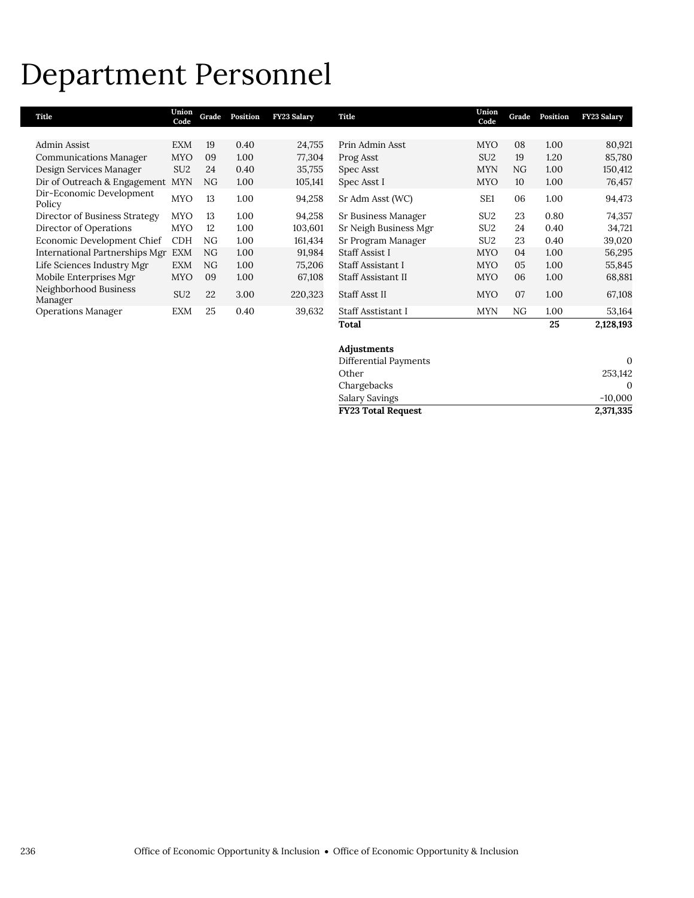### Department Personnel

| Title                              | Union<br>Code   | Grade | Position | <b>FY23 Salary</b> | Title                 | Union<br>Code   | Grade | Position | <b>FY23 Salary</b> |
|------------------------------------|-----------------|-------|----------|--------------------|-----------------------|-----------------|-------|----------|--------------------|
|                                    |                 |       |          |                    |                       |                 |       |          |                    |
| Admin Assist                       | <b>EXM</b>      | 19    | 0.40     | 24,755             | Prin Admin Asst       | <b>MYO</b>      | 08    | 1.00     | 80,921             |
| <b>Communications Manager</b>      | <b>MYO</b>      | 09    | 1.00     | 77,304             | Prog Asst             | SU <sub>2</sub> | 19    | 1.20     | 85,780             |
| Design Services Manager            | SU <sub>2</sub> | 24    | 0.40     | 35,755             | Spec Asst             | <b>MYN</b>      | NG    | 1.00     | 150,412            |
| Dir of Outreach & Engagement       | <b>MYN</b>      | NG.   | 1.00     | 105,141            | Spec Asst I           | <b>MYO</b>      | 10    | 1.00     | 76,457             |
| Dir-Economic Development<br>Policy | <b>MYO</b>      | 13    | 1.00     | 94,258             | Sr Adm Asst (WC)      | SE <sub>1</sub> | 06    | 1.00     | 94,473             |
| Director of Business Strategy      | <b>MYO</b>      | 13    | 1.00     | 94,258             | Sr Business Manager   | SU <sub>2</sub> | 23    | 0.80     | 74,357             |
| Director of Operations             | <b>MYO</b>      | 12    | 1.00     | 103,601            | Sr Neigh Business Mgr | SU <sub>2</sub> | 24    | 0.40     | 34,721             |
| Economic Development Chief         | <b>CDH</b>      | NG    | 1.00     | 161,434            | Sr Program Manager    | SU <sub>2</sub> | 23    | 0.40     | 39,020             |
| International Partnerships Mgr     | <b>EXM</b>      | NG.   | 1.00     | 91,984             | Staff Assist I        | <b>MYO</b>      | 04    | 1.00     | 56,295             |
| Life Sciences Industry Mgr         | <b>EXM</b>      | NG.   | 1.00     | 75,206             | Staff Assistant I     | <b>MYO</b>      | 05    | 1.00     | 55,845             |
| Mobile Enterprises Mgr             | <b>MYO</b>      | 09    | 1.00     | 67,108             | Staff Assistant II    | <b>MYO</b>      | 06    | 1.00     | 68,881             |
| Neighborhood Business<br>Manager   | SU <sub>2</sub> | 22    | 3.00     | 220,323            | <b>Staff Asst II</b>  | <b>MYO</b>      | 07    | 1.00     | 67,108             |
| <b>Operations Manager</b>          | <b>EXM</b>      | 25    | 0.40     | 39,632             | Staff Asstistant I    | <b>MYN</b>      | NG.   | 1.00     | 53,164             |
|                                    |                 |       |          |                    | Total                 |                 |       | 25       | 2,128,193          |

| Adjustments               |           |
|---------------------------|-----------|
| Differential Payments     | 0         |
| Other                     | 253.142   |
| Chargebacks               | 0         |
| Salary Savings            | $-10.000$ |
| <b>FY23 Total Request</b> | 2,371,335 |

I.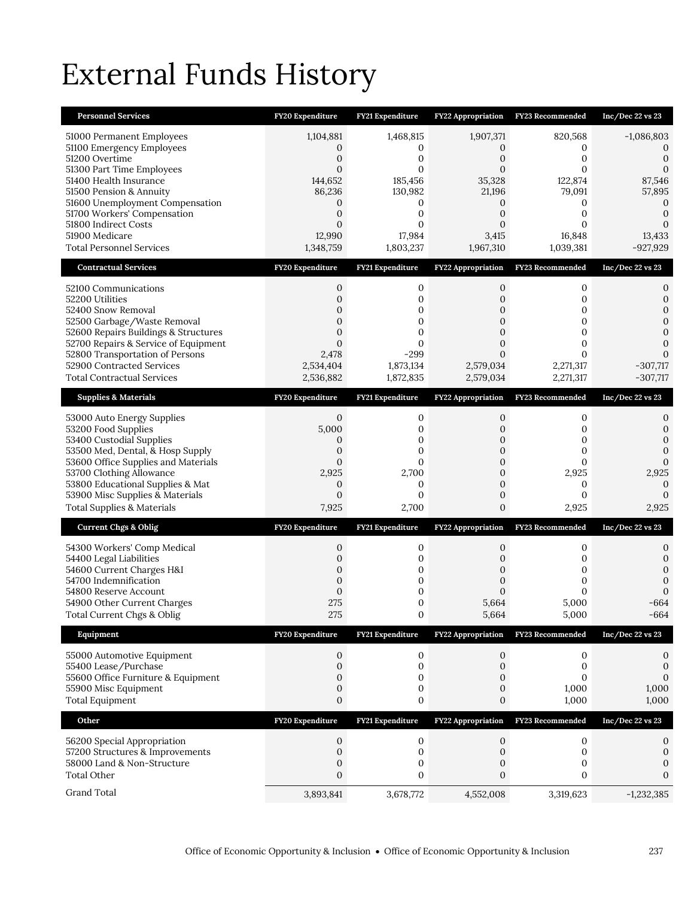## External Funds History

| <b>Personnel Services</b>                                                                                                                                                                                                                                                                                 | FY20 Expenditure                                                                                                  | FY21 Expenditure                                                                                              | <b>FY22 Appropriation</b>                                                                              | FY23 Recommended                                                                                               | Inc/Dec 22 vs 23                                                                    |
|-----------------------------------------------------------------------------------------------------------------------------------------------------------------------------------------------------------------------------------------------------------------------------------------------------------|-------------------------------------------------------------------------------------------------------------------|---------------------------------------------------------------------------------------------------------------|--------------------------------------------------------------------------------------------------------|----------------------------------------------------------------------------------------------------------------|-------------------------------------------------------------------------------------|
| 51000 Permanent Employees<br>51100 Emergency Employees<br>51200 Overtime<br>51300 Part Time Employees<br>51400 Health Insurance<br>51500 Pension & Annuity<br>51600 Unemployment Compensation<br>51700 Workers' Compensation<br>51800 Indirect Costs<br>51900 Medicare<br><b>Total Personnel Services</b> | 1,104,881<br>0<br>$\boldsymbol{0}$<br>0<br>144,652<br>86,236<br>0<br>$\boldsymbol{0}$<br>0<br>12,990<br>1,348,759 | 1,468,815<br>0<br>0<br>$\Omega$<br>185,456<br>130,982<br>0<br>$\mathbf{0}$<br>$\Omega$<br>17,984<br>1,803,237 | 1,907,371<br>0<br>0<br>$\Omega$<br>35,328<br>21,196<br>0<br>0<br>$\Omega$<br>3,415<br>1,967,310        | 820,568<br>0<br>$\mathbf{0}$<br>$\Omega$<br>122,874<br>79,091<br>0<br>$\mathbf{0}$<br>0<br>16,848<br>1,039,381 | $-1,086,803$<br>$\Omega$<br>0<br>87,546<br>57,895<br>0<br>0<br>13,433<br>$-927,929$ |
| <b>Contractual Services</b>                                                                                                                                                                                                                                                                               | FY20 Expenditure                                                                                                  | FY21 Expenditure                                                                                              | <b>FY22 Appropriation</b>                                                                              | FY23 Recommended                                                                                               | Inc/Dec 22 vs 23                                                                    |
| 52100 Communications<br>52200 Utilities<br>52400 Snow Removal<br>52500 Garbage/Waste Removal<br>52600 Repairs Buildings & Structures<br>52700 Repairs & Service of Equipment<br>52800 Transportation of Persons<br>52900 Contracted Services<br><b>Total Contractual Services</b>                         | $\mathbf{0}$<br>0<br>0<br>0<br>$\mathbf{0}$<br>$\mathbf{0}$<br>2,478<br>2,534,404<br>2,536,882                    | 0<br>0<br>0<br>0<br>$\mathbf{0}$<br>0<br>$-299$<br>1,873,134<br>1,872,835                                     | 0<br>$\mathbf{0}$<br>0<br>$\Omega$<br>$\overline{0}$<br>0<br>0<br>2,579,034<br>2,579,034               | 0<br>$\mathbf{0}$<br>0<br>$\mathbf{0}$<br>$\mathbf{0}$<br>0<br>0<br>2,271,317<br>2,271,317                     | 0<br>0<br>$\Omega$<br>$\Omega$<br>$-307,717$<br>$-307,717$                          |
| <b>Supplies &amp; Materials</b>                                                                                                                                                                                                                                                                           | FY20 Expenditure                                                                                                  | FY21 Expenditure                                                                                              | FY22 Appropriation                                                                                     | <b>FY23 Recommended</b>                                                                                        | Inc/Dec 22 vs 23                                                                    |
| 53000 Auto Energy Supplies<br>53200 Food Supplies<br>53400 Custodial Supplies<br>53500 Med, Dental, & Hosp Supply<br>53600 Office Supplies and Materials<br>53700 Clothing Allowance<br>53800 Educational Supplies & Mat<br>53900 Misc Supplies & Materials<br>Total Supplies & Materials                 | $\mathbf{0}$<br>5,000<br>0<br>0<br>0<br>2,925<br>$\mathbf{0}$<br>$\mathbf{0}$<br>7,925                            | 0<br>0<br>0<br>0<br>$\Omega$<br>2,700<br>$\mathbf{0}$<br>$\mathbf{0}$<br>2,700                                | 0<br>0<br>$\mathbf{0}$<br>$\overline{0}$<br>$\overline{0}$<br>$\mathbf{0}$<br>$\overline{0}$<br>0<br>0 | 0<br>0<br>0<br>0<br>0<br>2,925<br>0<br>$\mathbf{0}$<br>2,925                                                   | 0<br>0<br>$\Omega$<br>0<br>2,925<br>0<br>$\Omega$<br>2,925                          |
| <b>Current Chgs &amp; Oblig</b>                                                                                                                                                                                                                                                                           | FY20 Expenditure                                                                                                  | FY21 Expenditure                                                                                              | FY22 Appropriation                                                                                     | FY23 Recommended                                                                                               | Inc/Dec 22 vs 23                                                                    |
| 54300 Workers' Comp Medical<br>54400 Legal Liabilities<br>54600 Current Charges H&I<br>54700 Indemnification<br>54800 Reserve Account<br>54900 Other Current Charges<br>Total Current Chgs & Oblig                                                                                                        | 0<br>0<br>0<br>$\mathbf{0}$<br>$\mathbf{0}$<br>275<br>275                                                         | 0<br>0<br>0<br>$\mathbf 0$<br>0<br>0<br>$\boldsymbol{0}$                                                      | 0<br>0<br>$\mathbf{0}$<br>$\mathbf{0}$<br>0<br>5,664<br>5,664                                          | 0<br>$\mathbf{0}$<br>0<br>$\mathbf{0}$<br>0<br>5,000<br>5,000                                                  | 0<br>0<br>0<br>0<br>$\Omega$<br>-664<br>$-664$                                      |
| Equipment                                                                                                                                                                                                                                                                                                 | <b>FY20 Expenditure</b>                                                                                           | FY21 Expenditure                                                                                              | <b>FY22 Appropriation</b>                                                                              | FY23 Recommended                                                                                               | Inc/Dec 22 vs 23                                                                    |
| 55000 Automotive Equipment<br>55400 Lease/Purchase<br>55600 Office Furniture & Equipment<br>55900 Misc Equipment<br><b>Total Equipment</b>                                                                                                                                                                | 0<br>$\mathbf{0}$<br>0<br>$\boldsymbol{0}$<br>$\boldsymbol{0}$                                                    | $\mathbf 0$<br>0<br>0<br>0<br>0                                                                               | 0<br>0<br>0<br>0<br>0                                                                                  | 0<br>0<br>$\mathbf{0}$<br>1,000<br>1,000                                                                       | 0<br>0<br>$\mathbf{0}$<br>1,000<br>1,000                                            |
| Other                                                                                                                                                                                                                                                                                                     | FY20 Expenditure                                                                                                  | FY21 Expenditure                                                                                              | FY22 Appropriation                                                                                     | FY23 Recommended                                                                                               | Inc/Dec 22 vs 23                                                                    |
| 56200 Special Appropriation<br>57200 Structures & Improvements<br>58000 Land & Non-Structure<br><b>Total Other</b>                                                                                                                                                                                        | $\mathbf{0}$<br>$\boldsymbol{0}$<br>0<br>$\mathbf{0}$                                                             | 0<br>$\boldsymbol{0}$<br>0<br>0                                                                               | 0<br>0<br>0<br>0                                                                                       | 0<br>0<br>0<br>0                                                                                               | 0<br>$\mathbf 0$<br>0<br>0                                                          |
| Grand Total                                                                                                                                                                                                                                                                                               | 3,893,841                                                                                                         | 3,678,772                                                                                                     | 4,552,008                                                                                              | 3,319,623                                                                                                      | $-1,232,385$                                                                        |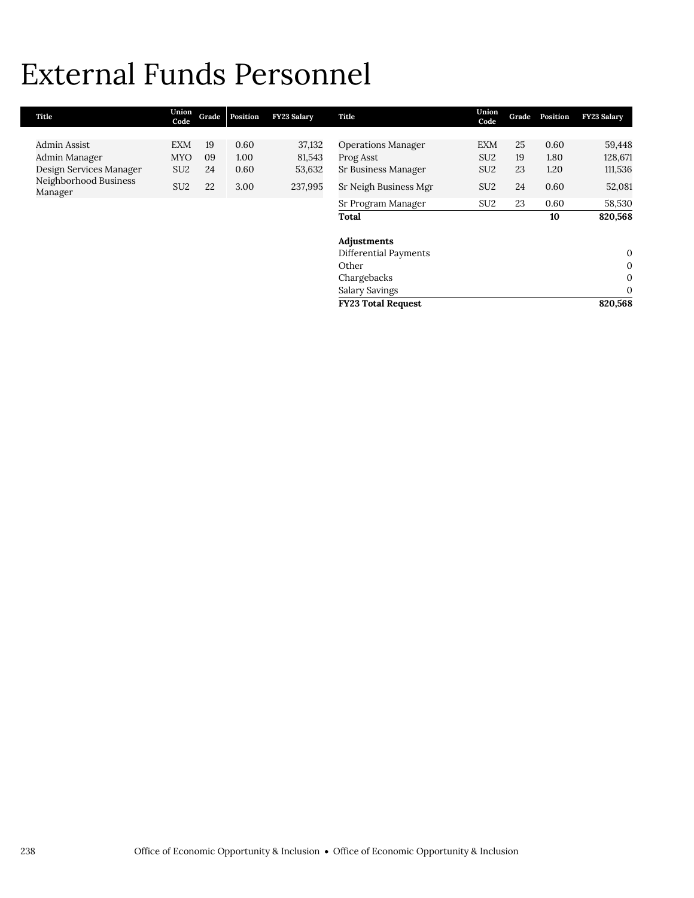### External Funds Personnel

| Title                            | Union<br>Code   | Grade | Position | <b>FY23 Salary</b> | Title                     | Union<br>Code   | Grade | Position | <b>FY23 Salary</b> |
|----------------------------------|-----------------|-------|----------|--------------------|---------------------------|-----------------|-------|----------|--------------------|
|                                  |                 |       |          |                    |                           |                 |       |          |                    |
| Admin Assist                     | EXM             | 19    | 0.60     | 37,132             | <b>Operations Manager</b> | <b>EXM</b>      | 25    | 0.60     | 59,448             |
| Admin Manager                    | <b>MYO</b>      | 09    | 1.00     | 81,543             | Prog Asst                 | SU <sub>2</sub> | 19    | 1.80     | 128,671            |
| Design Services Manager          | SU <sub>2</sub> | 24    | 0.60     | 53,632             | Sr Business Manager       | SU <sub>2</sub> | 23    | 1.20     | 111,536            |
| Neighborhood Business<br>Manager | SU <sub>2</sub> | 22    | 3.00     | 237,995            | Sr Neigh Business Mgr     | SU <sub>2</sub> | 24    | 0.60     | 52,081             |
|                                  |                 |       |          |                    | Sr Program Manager        | SU <sub>2</sub> | 23    | 0.60     | 58,530             |
|                                  |                 |       |          |                    | Total                     |                 |       | 10       | 820,568            |
|                                  |                 |       |          |                    |                           |                 |       |          |                    |
|                                  |                 |       |          |                    | Adjustments               |                 |       |          |                    |
|                                  |                 |       |          |                    | Differential Payments     |                 |       |          | $\mathbf{0}$       |
|                                  |                 |       |          |                    | Other                     |                 |       |          | $\mathbf{0}$       |
|                                  |                 |       |          |                    | Chargebacks               |                 |       |          | $\mathbf{0}$       |
|                                  |                 |       |          |                    | <b>Salary Savings</b>     |                 |       |          | $\mathbf{0}$       |
|                                  |                 |       |          |                    | <b>FY23 Total Request</b> |                 |       |          | 820,568            |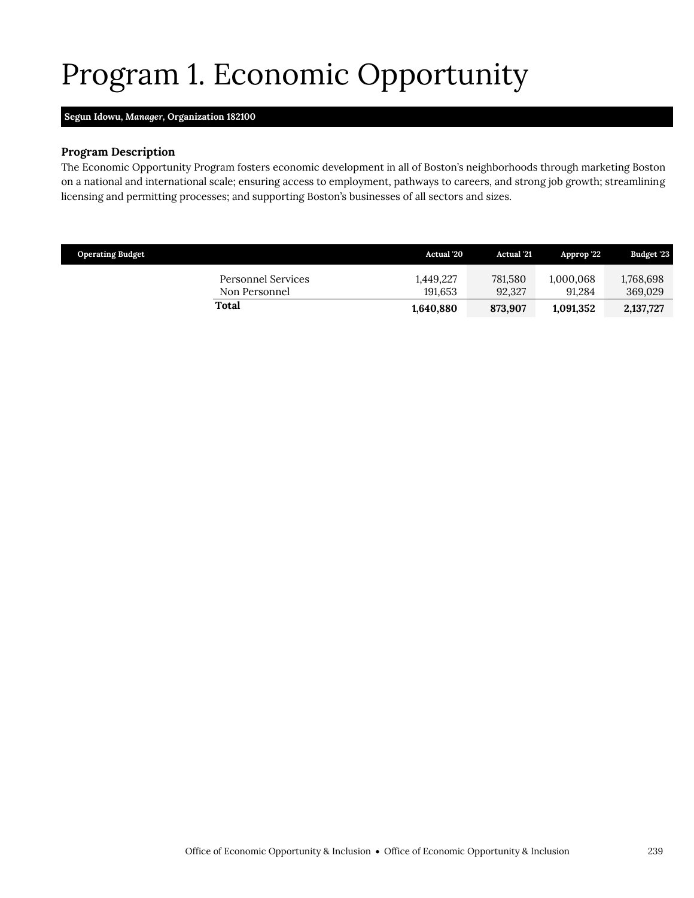## <span id="page-26-0"></span>Program 1. Economic Opportunity

### **Segun Idowu,** *Manager,* **Organization 182100**

#### **Program Description**

The Economic Opportunity Program fosters economic development in all of Boston's neighborhoods through marketing Boston on a national and international scale; ensuring access to employment, pathways to careers, and strong job growth; streamlining licensing and permitting processes; and supporting Boston's businesses of all sectors and sizes.

| <b>Operating Budget</b> |                                     | <b>Actual</b> '20    | <b>Actual</b> '21 | Approp '22'         | <b>Budget '23</b>    |
|-------------------------|-------------------------------------|----------------------|-------------------|---------------------|----------------------|
|                         | Personnel Services<br>Non Personnel | 1.449.227<br>191.653 | 781.580<br>92,327 | 1,000,068<br>91.284 | 1,768,698<br>369.029 |
|                         | Total                               | 1,640,880            | 873,907           | 1,091,352           | 2,137,727            |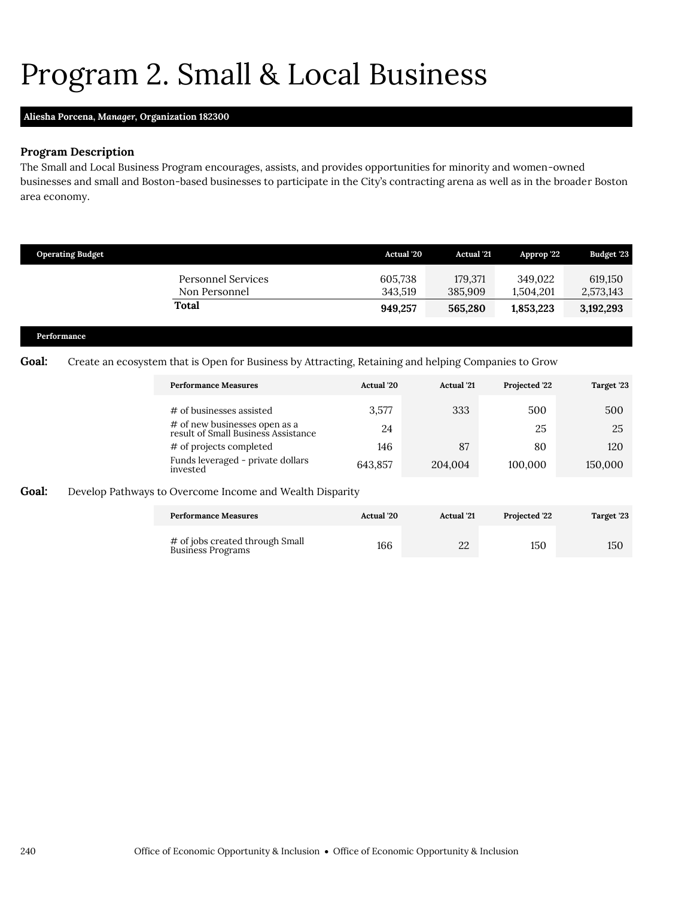### Program 2. Small & Local Business

#### **Aliesha Porcena,** *Manager,* **Organization 182300**

### **Program Description**

The Small and Local Business Program encourages, assists, and provides opportunities for minority and women-owned businesses and small and Boston-based businesses to participate in the City's contracting arena as well as in the broader Boston area economy.

| <b>Operating Budget</b> |                                            | <b>Actual</b> '20  | <b>Actual</b> '21  | Approp '22           | Budget '23           |
|-------------------------|--------------------------------------------|--------------------|--------------------|----------------------|----------------------|
|                         | <b>Personnel Services</b><br>Non Personnel | 605,738<br>343.519 | 179,371<br>385,909 | 349.022<br>1,504,201 | 619,150<br>2,573,143 |
|                         | Total                                      | 949,257            | 565,280            | 1,853,223            | 3,192,293            |
| Performance             |                                            |                    |                    |                      |                      |

### Goal: Create an ecosystem that is Open for Business by Attracting, Retaining and helping Companies to Grow

<span id="page-27-0"></span>

| <b>Performance Measures</b>                                          | <b>Actual</b> '20 | <b>Actual</b> '21 | Projected '22 | Target '23 |
|----------------------------------------------------------------------|-------------------|-------------------|---------------|------------|
| # of businesses assisted                                             | 3,577             | 333               | 500           | 500        |
| # of new businesses open as a<br>result of Small Business Assistance | 24                |                   | 25            | 25         |
| # of projects completed                                              | 146               | 87                | 80            | 120        |
| Funds leveraged - private dollars<br>invested                        | 643,857           | 204,004           | 100,000       | 150,000    |

### **Goal:** Develop Pathways to Overcome Income and Wealth Disparity

| <b>Performance Measures</b>                          | <b>Actual</b> '20 | <b>Actual</b> '21 | <b>Projected 22</b> | Target '23 |
|------------------------------------------------------|-------------------|-------------------|---------------------|------------|
| # of jobs created through Small<br>Business Programs | 166               | 22                | 150                 | 150        |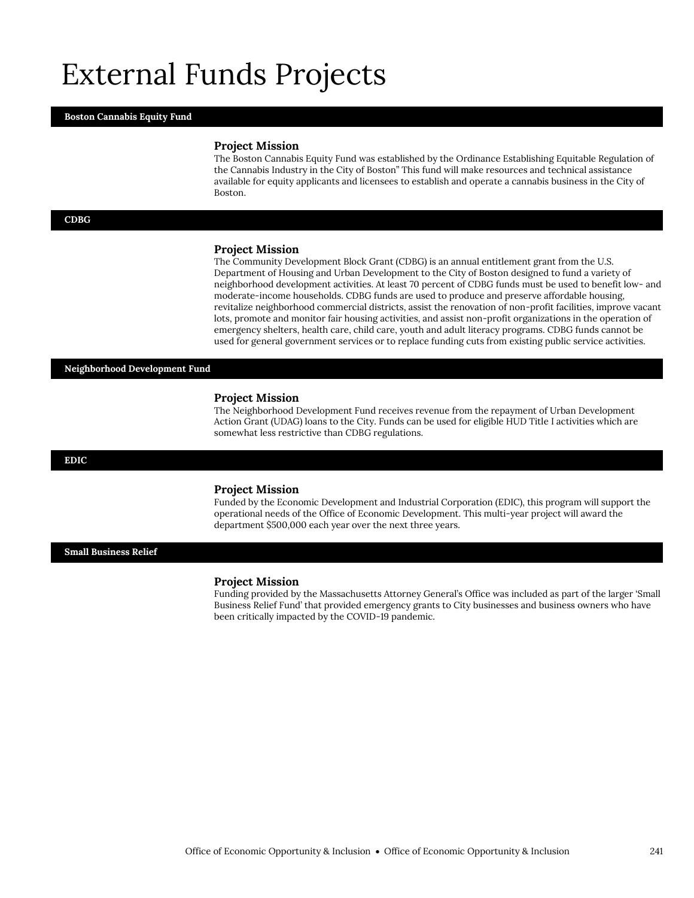### External Funds Projects

#### **Boston Cannabis Equity Fund**

#### **Project Mission**

The Boston Cannabis Equity Fund was established by the Ordinance Establishing Equitable Regulation of the Cannabis Industry in the City of Boston" This fund will make resources and technical assistance available for equity applicants and licensees to establish and operate a cannabis business in the City of Boston.

#### **CDBG**

#### **Project Mission**

The Community Development Block Grant (CDBG) is an annual entitlement grant from the U.S. Department of Housing and Urban Development to the City of Boston designed to fund a variety of neighborhood development activities. At least 70 percent of CDBG funds must be used to benefit low- and moderate-income households. CDBG funds are used to produce and preserve affordable housing, revitalize neighborhood commercial districts, assist the renovation of non-profit facilities, improve vacant lots, promote and monitor fair housing activities, and assist non-profit organizations in the operation of emergency shelters, health care, child care, youth and adult literacy programs. CDBG funds cannot be used for general government services or to replace funding cuts from existing public service activities.

#### **Neighborhood Development Fund**

#### **Project Mission**

The Neighborhood Development Fund receives revenue from the repayment of Urban Development Action Grant (UDAG) loans to the City. Funds can be used for eligible HUD Title I activities which are somewhat less restrictive than CDBG regulations.

#### **EDIC**

#### **Project Mission**

Funded by the Economic Development and Industrial Corporation (EDIC), this program will support the operational needs of the Office of Economic Development. This multi-year project will award the department \$500,000 each year over the next three years.

**Small Business Relief**

#### **Project Mission**

Funding provided by the Massachusetts Attorney General's Office was included as part of the larger 'Small Business Relief Fund' that provided emergency grants to City businesses and business owners who have been critically impacted by the COVID-19 pandemic.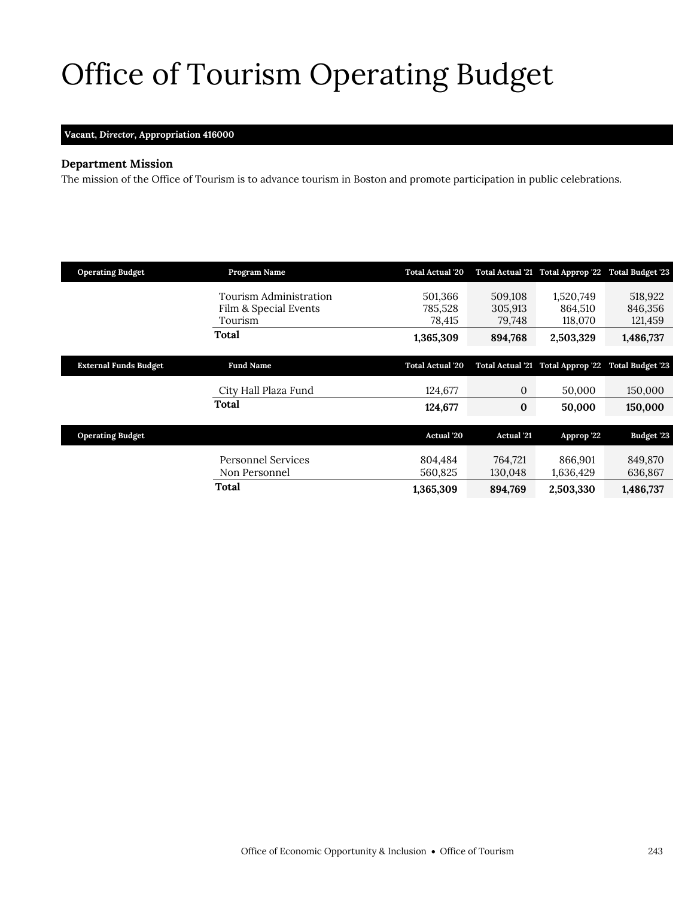# <span id="page-30-0"></span>Office of Tourism Operating Budget

### **Vacant,** *Director,* **Appropriation 416000**

### **Department Mission**

 $\mathcal{O}(\mathcal{O}_\mathcal{C})$  of  $\mathcal{O}_\mathcal{C}$  of  $\mathcal{O}_\mathcal{C}$ 

The mission of the Office of Tourism is to advance tourism in Boston and promote participation in public celebrations.

| <b>Operating Budget</b>      | Program Name                                               | <b>Total Actual '20</b>      |                              | Total Actual '21 Total Approp '22 Total Budget '23 |                               |
|------------------------------|------------------------------------------------------------|------------------------------|------------------------------|----------------------------------------------------|-------------------------------|
|                              | Tourism Administration<br>Film & Special Events<br>Tourism | 501,366<br>785,528<br>78,415 | 509,108<br>305,913<br>79,748 | 1,520,749<br>864,510<br>118,070                    | 518,922<br>846,356<br>121,459 |
|                              | Total                                                      | 1,365,309                    | 894,768                      | 2,503,329                                          | 1,486,737                     |
| <b>External Funds Budget</b> | <b>Fund Name</b>                                           | <b>Total Actual '20</b>      |                              | Total Actual '21 Total Approp '22                  | <b>Total Budget '23</b>       |
|                              |                                                            |                              |                              |                                                    |                               |
|                              | City Hall Plaza Fund                                       | 124,677                      | $\boldsymbol{0}$             | 50,000                                             | 150,000                       |
|                              | Total                                                      | 124,677                      | $\bf{0}$                     | 50,000                                             | 150,000                       |
|                              |                                                            |                              |                              |                                                    |                               |
| <b>Operating Budget</b>      |                                                            | Actual '20                   | <b>Actual</b> '21            | Approp '22                                         | <b>Budget '23</b>             |
|                              | Personnel Services<br>Non Personnel                        | 804,484<br>560.825           | 764,721<br>130,048           | 866,901<br>1,636,429                               | 849,870<br>636,867            |
|                              | Total                                                      | 1,365,309                    | 894,769                      | 2,503,330                                          | 1,486,737                     |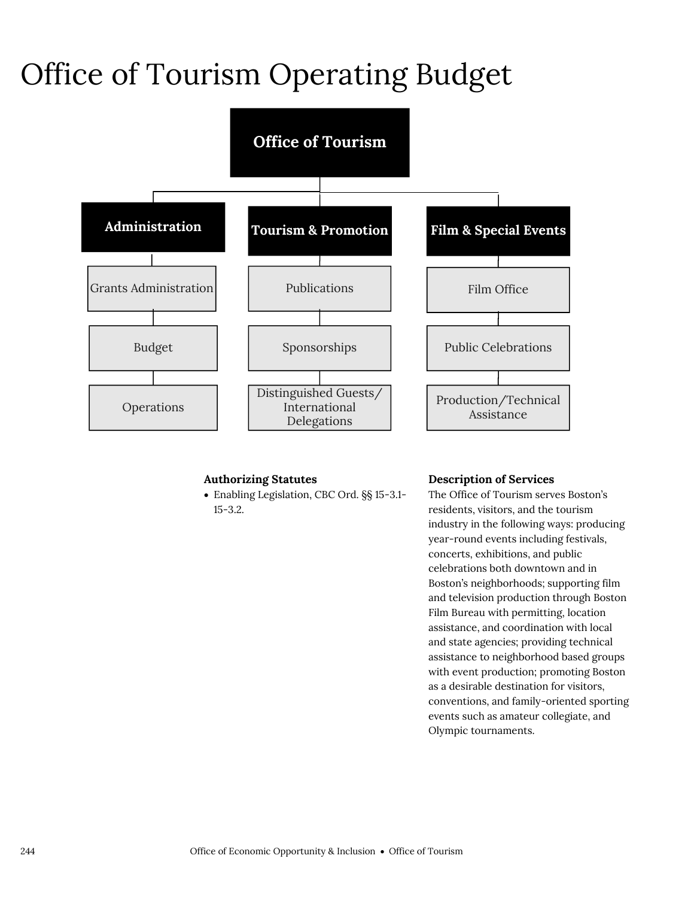### Office of Tourism Operating Budget



### **Authorizing Statutes**

 Enabling Legislation, CBC Ord. §§ 15-3.1- 15-3.2.

### **Description of Services**

The Office of Tourism serves Boston's residents, visitors, and the tourism industry in the following ways: producing year-round events including festivals, concerts, exhibitions, and public celebrations both downtown and in Boston's neighborhoods; supporting film and television production through Boston Film Bureau with permitting, location assistance, and coordination with local and state agencies; providing technical assistance to neighborhood based groups with event production; promoting Boston as a desirable destination for visitors, conventions, and family-oriented sporting events such as amateur collegiate, and Olympic tournaments.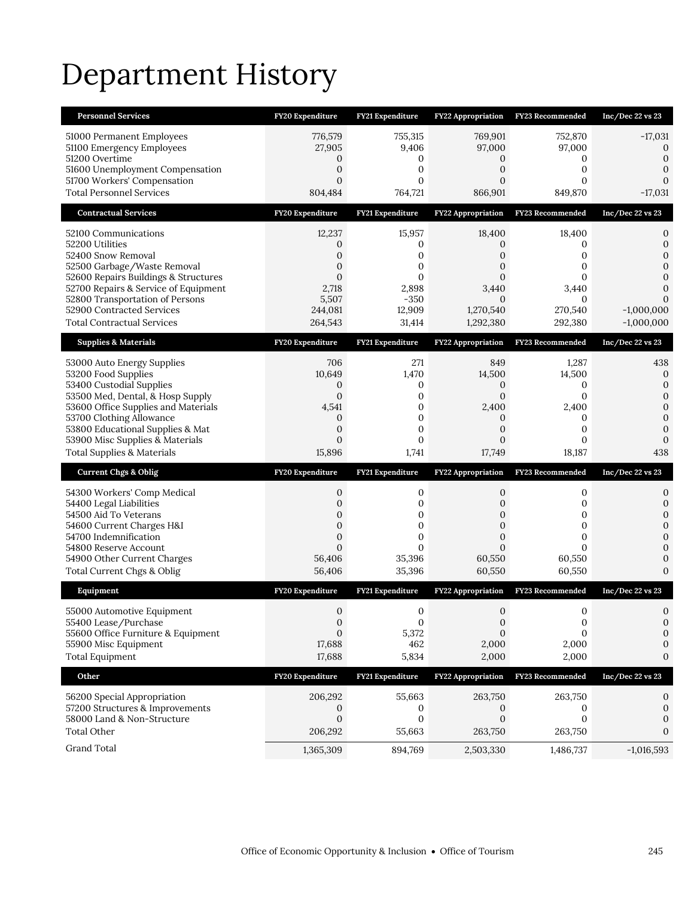# Department History

| <b>Personnel Services</b>                                                | FY20 Expenditure             | FY21 Expenditure            | <b>FY22 Appropriation</b>      | <b>FY23 Recommended</b> | Inc/Dec 22 vs 23             |
|--------------------------------------------------------------------------|------------------------------|-----------------------------|--------------------------------|-------------------------|------------------------------|
| 51000 Permanent Employees                                                | 776,579                      | 755,315                     | 769,901                        | 752,870                 | $-17,031$                    |
| 51100 Emergency Employees<br>51200 Overtime                              | 27,905<br>0                  | 9,406<br>0                  | 97,000<br>0                    | 97,000<br>0             | $\mathbf{0}$<br>$\mathbf{0}$ |
| 51600 Unemployment Compensation                                          | $\mathbf{0}$                 | $\mathbf{0}$                | $\overline{0}$                 | $\mathbf{0}$            | 0                            |
| 51700 Workers' Compensation                                              | 0                            | $\mathbf{0}$                | 0                              | 0                       | $\Omega$                     |
| <b>Total Personnel Services</b>                                          | 804,484                      | 764,721                     | 866,901                        | 849,870                 | $-17,031$                    |
| <b>Contractual Services</b>                                              | FY20 Expenditure             | FY21 Expenditure            | FY22 Appropriation             | FY23 Recommended        | $Inc/Dec$ 22 vs 23           |
| 52100 Communications                                                     | 12,237                       | 15,957                      | 18,400                         | 18,400                  | 0                            |
| 52200 Utilities<br>52400 Snow Removal                                    | 0<br>0                       | 0<br>0                      | $\Omega$<br>0                  | 0<br>0                  | $\mathbf{0}$<br>$\mathbf{0}$ |
| 52500 Garbage/Waste Removal                                              | $\mathbf{0}$                 | $\mathbf{0}$                | 0                              | 0                       | 0                            |
| 52600 Repairs Buildings & Structures                                     | $\mathbf{0}$                 | $\mathbf{0}$                | $\overline{0}$                 | 0                       | 0                            |
| 52700 Repairs & Service of Equipment<br>52800 Transportation of Persons  | 2,718<br>5,507               | 2,898<br>$-350$             | 3,440<br>$\Omega$              | 3,440<br>0              | $\Omega$<br>0                |
| 52900 Contracted Services                                                | 244,081                      | 12,909                      | 1,270,540                      | 270,540                 | $-1,000,000$                 |
| <b>Total Contractual Services</b>                                        | 264,543                      | 31,414                      | 1,292,380                      | 292,380                 | $-1,000,000$                 |
| <b>Supplies &amp; Materials</b>                                          | FY20 Expenditure             | FY21 Expenditure            | FY22 Appropriation             | FY23 Recommended        | Inc/Dec 22 vs 23             |
| 53000 Auto Energy Supplies                                               | 706                          | 271                         | 849                            | 1,287                   | 438                          |
| 53200 Food Supplies                                                      | 10,649                       | 1,470                       | 14,500                         | 14,500                  | $\mathbf 0$<br>$\mathbf{0}$  |
| 53400 Custodial Supplies<br>53500 Med, Dental, & Hosp Supply             | 0<br>$\mathbf{0}$            | 0<br>$\mathbf 0$            | 0<br>$\mathbf{0}$              | 0<br>0                  | $\mathbf 0$                  |
| 53600 Office Supplies and Materials                                      | 4,541                        | $\mathbf{0}$                | 2,400                          | 2,400                   | $\mathbf{0}$                 |
| 53700 Clothing Allowance<br>53800 Educational Supplies & Mat             | $\mathbf{0}$<br>0            | $\mathbf 0$<br>$\mathbf{0}$ | $\mathbf{0}$<br>0              | 0<br>0                  | $\mathbf{0}$<br>$\mathbf 0$  |
|                                                                          |                              |                             |                                |                         |                              |
|                                                                          | $\mathbf{0}$                 | 0                           | 0                              | 0                       | $\mathbf{0}$                 |
| 53900 Misc Supplies & Materials<br><b>Total Supplies &amp; Materials</b> | 15,896                       | 1,741                       | 17,749                         | 18,187                  | 438                          |
| <b>Current Chgs &amp; Oblig</b>                                          | FY20 Expenditure             | FY21 Expenditure            | <b>FY22 Appropriation</b>      | FY23 Recommended        | Inc/Dec 22 vs 23             |
|                                                                          | 0                            | 0                           | 0                              | 0                       | 0                            |
| 54300 Workers' Comp Medical<br>54400 Legal Liabilities                   | $\overline{0}$               | $\mathbf{0}$                | 0                              | $\mathbf{0}$            | $\boldsymbol{0}$             |
| 54500 Aid To Veterans                                                    | 0                            | 0                           | $\mathbf{0}$                   | 0                       | $\mathbf{0}$                 |
| 54600 Current Charges H&I<br>54700 Indemnification                       | $\mathbf{0}$<br>$\mathbf{0}$ | $\mathbf 0$<br>$\mathbf{0}$ | $\overline{0}$<br>$\mathbf{0}$ | 0<br>0                  | $\mathbf{0}$<br>$\Omega$     |
| 54800 Reserve Account                                                    | $\Omega$                     | $\mathbf{0}$                | $\overline{0}$                 | $\Omega$                | $\mathbf{0}$                 |
| 54900 Other Current Charges                                              | 56,406                       | 35,396                      | 60,550                         | 60,550                  | 0                            |
| Total Current Chgs & Oblig                                               | 56,406                       | 35,396                      | 60,550                         | 60,550                  | $\mathbf{0}$                 |
| Equipment                                                                | FY20 Expenditure             | FY21 Expenditure            | <b>FY22 Appropriation</b>      | FY23 Recommended        | Inc/Dec 22 vs 23             |
| 55000 Automotive Equipment                                               | $\mathbf{0}$                 | $\mathbf{0}$                | $\mathbf{0}$                   | 0                       | 0                            |
| 55400 Lease/Purchase<br>55600 Office Furniture & Equipment               | $\mathbf{0}$<br>$\Omega$     | $\boldsymbol{0}$<br>5,372   | $\boldsymbol{0}$<br>$\Omega$   | 0<br>$\Omega$           | 0<br>0                       |
| 55900 Misc Equipment                                                     | 17,688                       | 462                         | 2,000                          | 2,000                   | 0                            |
| <b>Total Equipment</b>                                                   | 17,688                       | 5,834                       | 2,000                          | 2,000                   | 0                            |
| Other                                                                    | FY20 Expenditure             | FY21 Expenditure            | <b>FY22 Appropriation</b>      | FY23 Recommended        | Inc/Dec 22 vs 23             |
| 56200 Special Appropriation                                              | 206,292                      | 55,663                      | 263,750                        | 263,750                 | 0                            |
| 57200 Structures & Improvements                                          | 0                            | 0                           | 0                              | 0                       | 0                            |
| 58000 Land & Non-Structure<br><b>Total Other</b>                         | $\boldsymbol{0}$<br>206,292  | 0<br>55,663                 | $\boldsymbol{0}$<br>263,750    | $\mathbf 0$<br>263,750  | 0<br>0                       |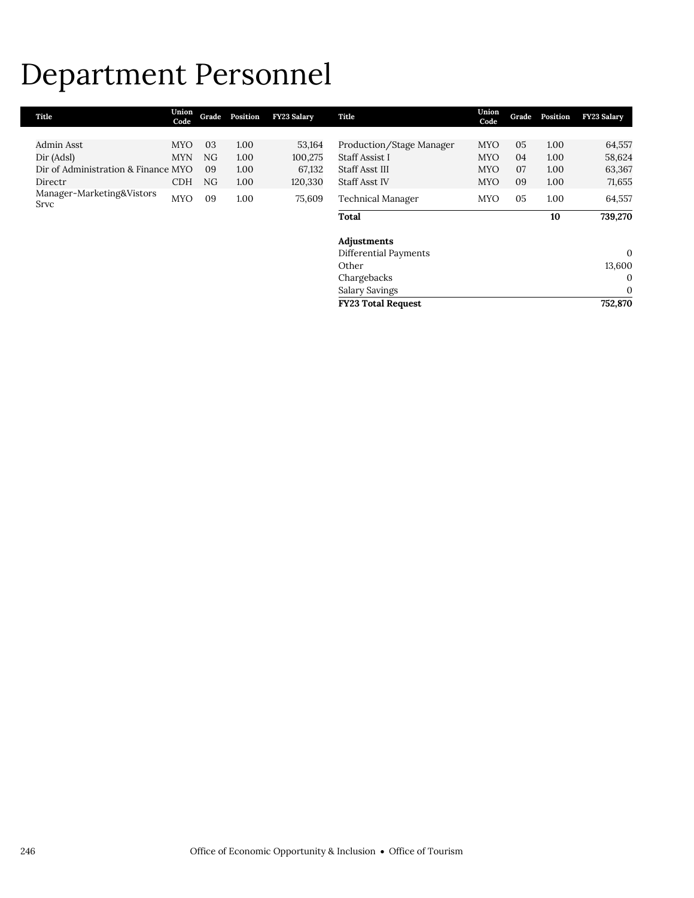## Department Personnel

| Title                               | Union<br>Code | Grade     | Position | <b>FY23 Salary</b> | Title                     | Union<br>Code | Grade | Position | <b>FY23 Salary</b> |
|-------------------------------------|---------------|-----------|----------|--------------------|---------------------------|---------------|-------|----------|--------------------|
|                                     |               |           |          |                    |                           |               |       |          |                    |
| Admin Asst                          | <b>MYO</b>    | 03        | 1.00     | 53,164             | Production/Stage Manager  | <b>MYO</b>    | 05    | 1.00     | 64,557             |
| Dir (Adsl)                          | <b>MYN</b>    | <b>NG</b> | 1.00     | 100,275            | Staff Assist I            | <b>MYO</b>    | 04    | 1.00     | 58,624             |
| Dir of Administration & Finance MYO |               | 09        | 1.00     | 67,132             | Staff Asst III            | <b>MYO</b>    | 07    | 1.00     | 63,367             |
| Directr                             | <b>CDH</b>    | NG        | 1.00     | 120,330            | Staff Asst IV             | <b>MYO</b>    | 09    | 1.00     | 71,655             |
| Manager-Marketing&Vistors<br>Srvc   | <b>MYO</b>    | 09        | 1.00     | 75,609             | Technical Manager         | <b>MYO</b>    | 05    | 1.00     | 64,557             |
|                                     |               |           |          |                    | <b>Total</b>              |               |       | 10       | 739,270            |
|                                     |               |           |          |                    | Adjustments               |               |       |          |                    |
|                                     |               |           |          |                    | Differential Payments     |               |       |          | $\mathbf{0}$       |
|                                     |               |           |          |                    | Other                     |               |       |          | 13,600             |
|                                     |               |           |          |                    | Chargebacks               |               |       |          | $\mathbf 0$        |
|                                     |               |           |          |                    | Salary Savings            |               |       |          | $\mathbf 0$        |
|                                     |               |           |          |                    | <b>FY23 Total Request</b> |               |       |          | 752,870            |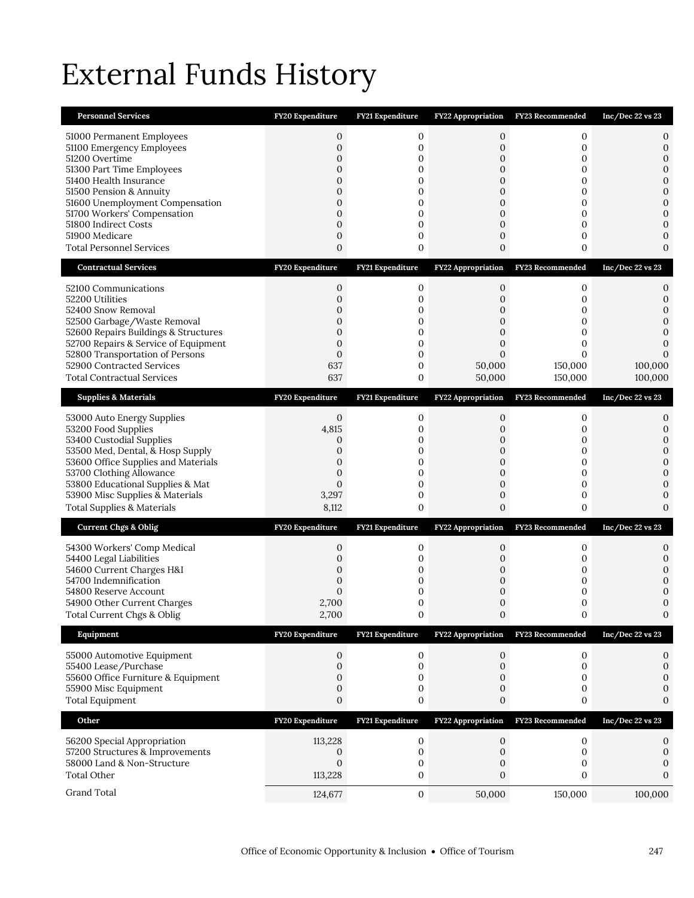## External Funds History

| <b>Personnel Services</b>                                                                                                                                                                                                                                                                                 | FY20 Expenditure                                                                                                                     | <b>FY21 Expenditure</b>                                                           | FY22 Appropriation                                                                                     | FY23 Recommended                                             | Inc/Dec 22 vs 23                                                                                                    |
|-----------------------------------------------------------------------------------------------------------------------------------------------------------------------------------------------------------------------------------------------------------------------------------------------------------|--------------------------------------------------------------------------------------------------------------------------------------|-----------------------------------------------------------------------------------|--------------------------------------------------------------------------------------------------------|--------------------------------------------------------------|---------------------------------------------------------------------------------------------------------------------|
| 51000 Permanent Employees<br>51100 Emergency Employees<br>51200 Overtime<br>51300 Part Time Employees<br>51400 Health Insurance<br>51500 Pension & Annuity<br>51600 Unemployment Compensation<br>51700 Workers' Compensation<br>51800 Indirect Costs<br>51900 Medicare<br><b>Total Personnel Services</b> | $\mathbf{0}$<br>$\mathbf{0}$<br>$\mathbf{0}$<br>$\mathbf{0}$<br>0<br>$\mathbf{0}$<br>$\overline{0}$<br>0<br>$\overline{0}$<br>0<br>0 | 0<br>$\mathbf 0$<br>0<br>0<br>0<br>0<br>$\mathbf 0$<br>0<br>$\mathbf 0$<br>0<br>0 | 0<br>0<br>$\mathbf{0}$<br>0<br>0<br>0<br>$\overline{0}$<br>0<br>$\overline{0}$<br>0<br>$\mathbf{0}$    | 0<br>0<br>0<br>0<br>0<br>0<br>0<br>0<br>0<br>0<br>0          | 0<br>0<br>$\mathbf{0}$<br>$\mathbf{0}$<br>$\mathbf{0}$<br>0<br>$\mathbf{0}$<br>$\overline{0}$<br>0<br>0<br>$\Omega$ |
| <b>Contractual Services</b>                                                                                                                                                                                                                                                                               | FY20 Expenditure                                                                                                                     | FY21 Expenditure                                                                  | FY22 Appropriation                                                                                     | <b>FY23 Recommended</b>                                      | Inc/Dec 22 vs 23                                                                                                    |
| 52100 Communications<br>52200 Utilities<br>52400 Snow Removal<br>52500 Garbage/Waste Removal<br>52600 Repairs Buildings & Structures<br>52700 Repairs & Service of Equipment<br>52800 Transportation of Persons<br>52900 Contracted Services<br><b>Total Contractual Services</b>                         | 0<br>$\mathbf{0}$<br>0<br>$\mathbf{0}$<br>$\mathbf{0}$<br>$\mathbf{0}$<br>$\mathbf{0}$<br>637<br>637                                 | 0<br>$\mathbf 0$<br>0<br>0<br>0<br>0<br>$\mathbf 0$<br>0<br>0                     | 0<br>$\mathbf{0}$<br>0<br>$\mathbf{0}$<br>$\mathbf{0}$<br>$\mathbf{0}$<br>$\Omega$<br>50,000<br>50,000 | 0<br>0<br>0<br>0<br>0<br>0<br>$\Omega$<br>150,000<br>150,000 | 0<br>0<br>0<br>$\mathbf{0}$<br>0<br>0<br>100,000<br>100,000                                                         |
| <b>Supplies &amp; Materials</b>                                                                                                                                                                                                                                                                           | FY20 Expenditure                                                                                                                     | FY21 Expenditure                                                                  | FY22 Appropriation                                                                                     | FY23 Recommended                                             | Inc/Dec 22 vs 23                                                                                                    |
| 53000 Auto Energy Supplies<br>53200 Food Supplies<br>53400 Custodial Supplies<br>53500 Med, Dental, & Hosp Supply<br>53600 Office Supplies and Materials<br>53700 Clothing Allowance<br>53800 Educational Supplies & Mat<br>53900 Misc Supplies & Materials<br><b>Total Supplies &amp; Materials</b>      | $\mathbf{0}$<br>4,815<br>0<br>$\mathbf{0}$<br>$\mathbf{0}$<br>$\mathbf{0}$<br>$\mathbf{0}$<br>3,297<br>8,112                         | 0<br>$\mathbf 0$<br>0<br>$\mathbf 0$<br>0<br>0<br>0<br>$\mathbf 0$<br>0           | 0<br>$\overline{0}$<br>0<br>$\mathbf{0}$<br>$\mathbf{0}$<br>0<br>0<br>$\mathbf{0}$<br>$\overline{0}$   | 0<br>0<br>0<br>0<br>0<br>0<br>0<br>0<br>0                    | 0<br>0<br>0<br>$\mathbf{0}$<br>$\mathbf{0}$<br>$\mathbf{0}$<br>0<br>$\mathbf{0}$<br>$\Omega$                        |
| <b>Current Chgs &amp; Oblig</b>                                                                                                                                                                                                                                                                           | FY20 Expenditure                                                                                                                     | FY21 Expenditure                                                                  |                                                                                                        | FY22 Appropriation FY23 Recommended                          | Inc/Dec 22 vs 23                                                                                                    |
| 54300 Workers' Comp Medical<br>54400 Legal Liabilities<br>54600 Current Charges H&I<br>54700 Indemnification<br>54800 Reserve Account<br>54900 Other Current Charges<br>Total Current Chgs & Oblig                                                                                                        | 0<br>0<br>0<br>0<br>$\Omega$<br>2,700<br>2,700                                                                                       | 0<br>0<br>0<br>0<br>0<br>0<br>$\boldsymbol{0}$                                    | 0<br>0<br>0<br>0<br>$\mathbf{0}$<br>0                                                                  | 0<br>0<br>0<br>0<br>0<br>0                                   | 0<br>0<br>0<br>$\mathbf{0}$<br>0<br>$\mathbf{0}$                                                                    |
| Equipment                                                                                                                                                                                                                                                                                                 | <b>FY20 Expenditure</b>                                                                                                              | FY21 Expenditure                                                                  | <b>FY22 Appropriation</b>                                                                              | FY23 Recommended                                             | Inc/Dec 22 vs 23                                                                                                    |
| 55000 Automotive Equipment<br>55400 Lease/Purchase<br>55600 Office Furniture & Equipment<br>55900 Misc Equipment<br><b>Total Equipment</b>                                                                                                                                                                | $\boldsymbol{0}$<br>$\mathbf{0}$<br>$\mathbf{0}$<br>$\mathbf{0}$<br>0                                                                | 0<br>0<br>0<br>0<br>0                                                             | $\mathbf{0}$<br>0<br>0<br>0<br>0                                                                       | 0<br>0<br>0<br>0<br>0                                        | 0<br>0<br>0<br>$\boldsymbol{0}$<br>0                                                                                |
| Other                                                                                                                                                                                                                                                                                                     | FY20 Expenditure                                                                                                                     | FY21 Expenditure                                                                  | FY22 Appropriation                                                                                     | FY23 Recommended                                             | Inc/Dec 22 vs 23                                                                                                    |
| 56200 Special Appropriation<br>57200 Structures & Improvements<br>58000 Land & Non-Structure<br>Total Other                                                                                                                                                                                               | 113,228<br>0<br>$\mathbf{0}$<br>113,228                                                                                              | 0<br>$\boldsymbol{0}$<br>0<br>0                                                   | 0<br>$\boldsymbol{0}$<br>0<br>0                                                                        | $\mathbf 0$<br>0<br>0<br>0                                   | 0<br>$\mathbf{0}$<br>0<br>0                                                                                         |
| Grand Total                                                                                                                                                                                                                                                                                               | 124,677                                                                                                                              | $\mathbf 0$                                                                       | 50,000                                                                                                 | 150,000                                                      | 100,000                                                                                                             |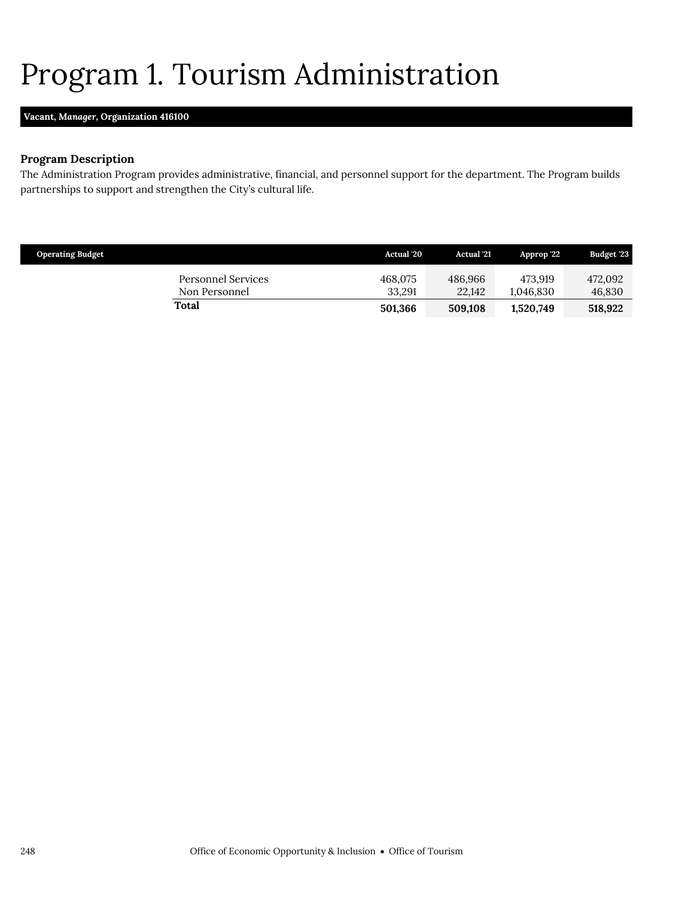### <span id="page-35-0"></span>Program 1. Tourism Administration

### **Vacant,** *Manager,* **Organization 416100**

### **Program Description**

The Administration Program provides administrative, financial, and personnel support for the department. The Program builds partnerships to support and strengthen the City's cultural life.

| <b>Operating Budget</b> |                                            | <b>Actual</b> '20 | <b>Actual</b> '21 | Approp 22            | Budget '23        |
|-------------------------|--------------------------------------------|-------------------|-------------------|----------------------|-------------------|
|                         | <b>Personnel Services</b><br>Non Personnel | 468.075<br>33.291 | 486.966<br>22,142 | 473.919<br>1,046,830 | 472.092<br>46,830 |
|                         | Total                                      | 501,366           | 509,108           | 1,520,749            | 518,922           |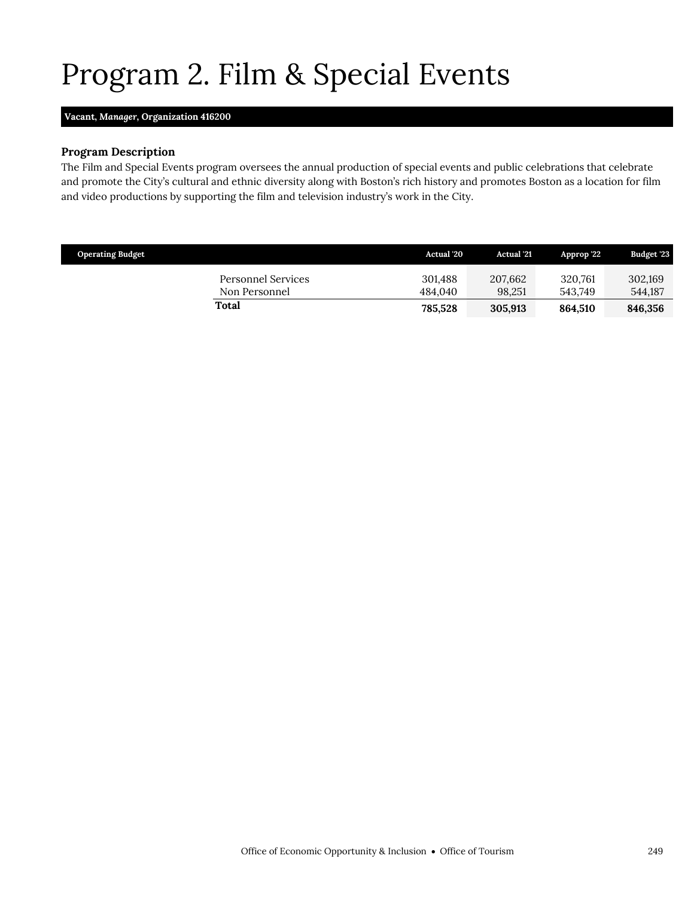## <span id="page-36-0"></span>Program 2. Film & Special Events

#### **Vacant,** *Manager,* **Organization 416200**

#### **Program Description**

The Film and Special Events program oversees the annual production of special events and public celebrations that celebrate and promote the City's cultural and ethnic diversity along with Boston's rich history and promotes Boston as a location for film and video productions by supporting the film and television industry's work in the City.

| <b>Operating Budget</b>             | Actual '20         | <b>Actual</b> '21 | Approp '22         | <b>Budget '23</b>  |
|-------------------------------------|--------------------|-------------------|--------------------|--------------------|
| Personnel Services<br>Non Personnel | 301.488<br>484.040 | 207,662<br>98.251 | 320.761<br>543.749 | 302,169<br>544.187 |
| Total                               | 785.528            | 305.913           | 864.510            | 846,356            |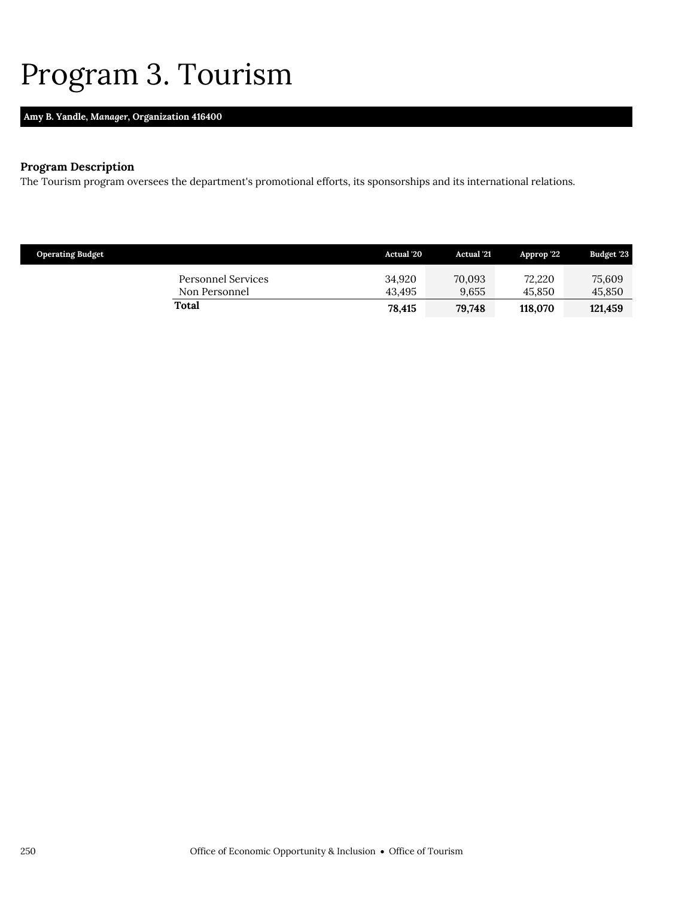### <span id="page-37-0"></span>Program 3. Tourism

### **Amy B. Yandle,** *Manager,* **Organization 416400**

### **Program Description**

The Tourism program oversees the department's promotional efforts, its sponsorships and its international relations.

| <b>Operating Budget</b> |                                     | <b>Actual</b> '20 | <b>Actual</b> '21 | Approp '22       | Budget '23       |
|-------------------------|-------------------------------------|-------------------|-------------------|------------------|------------------|
|                         | Personnel Services<br>Non Personnel | 34.920<br>43.495  | 70,093<br>9.655   | 72.220<br>45.850 | 75,609<br>45,850 |
| Total                   |                                     | 78,415            | 79.748            | 118,070          | 121.459          |